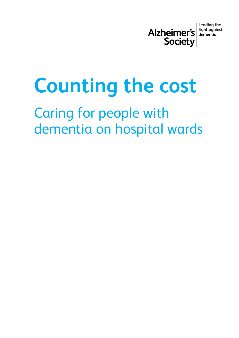

**Leading the** fight against dementia

# **Counting the cost**

# Caring for people with dementia on hospital wards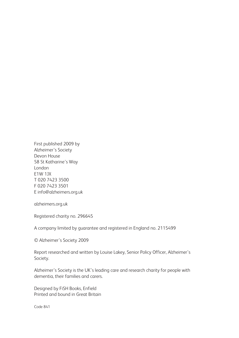First published 2009 by Alzheimer's Society Devon House 58 St Katharine's Way London E1W 1JX T 020 7423 3500 F 020 7423 3501 E info@alzheimers.org.uk

alzheimers.org.uk

Registered charity no. 296645

A company limited by guarantee and registered in England no. 2115499

© Alzheimer's Society 2009

Report researched and written by Louise Lakey, Senior Policy Officer, Alzheimer's Society.

Alzheimer's Society is the UK's leading care and research charity for people with dementia, their families and carers.

Designed by FiSH Books, Enfield Printed and bound in Great Britain

Code 841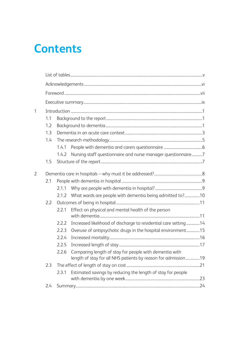# **Contents**

| $\mathbf{1}$   |     |       |                                                                                                                               |  |  |  |  |  |  |
|----------------|-----|-------|-------------------------------------------------------------------------------------------------------------------------------|--|--|--|--|--|--|
|                | 1.1 |       |                                                                                                                               |  |  |  |  |  |  |
|                | 1.2 |       |                                                                                                                               |  |  |  |  |  |  |
|                | 1.3 |       |                                                                                                                               |  |  |  |  |  |  |
|                | 1.4 |       |                                                                                                                               |  |  |  |  |  |  |
|                |     | 1.4.1 |                                                                                                                               |  |  |  |  |  |  |
|                |     | 1.4.2 | Nursing staff questionnaire and nurse manager questionnaire7                                                                  |  |  |  |  |  |  |
|                | 1.5 |       |                                                                                                                               |  |  |  |  |  |  |
| $\overline{2}$ |     |       |                                                                                                                               |  |  |  |  |  |  |
|                | 2.1 |       |                                                                                                                               |  |  |  |  |  |  |
|                |     | 2.1.1 |                                                                                                                               |  |  |  |  |  |  |
|                |     | 2.1.2 | What wards are people with dementia being admitted to?10                                                                      |  |  |  |  |  |  |
|                | 2.2 |       |                                                                                                                               |  |  |  |  |  |  |
|                |     | 2.2.1 | Effect on physical and mental health of the person                                                                            |  |  |  |  |  |  |
|                |     | 2.2.2 | Increased likelihood of discharge to residential care setting 14                                                              |  |  |  |  |  |  |
|                |     | 2.2.3 | Overuse of antipsychotic drugs in the hospital environment15                                                                  |  |  |  |  |  |  |
|                |     | 2.2.4 |                                                                                                                               |  |  |  |  |  |  |
|                |     | 2.2.5 |                                                                                                                               |  |  |  |  |  |  |
|                |     |       | 2.2.6 Comparing length of stay for people with dementia with<br>length of stay for all NHS patients by reason for admission19 |  |  |  |  |  |  |
|                | 2.3 |       |                                                                                                                               |  |  |  |  |  |  |
|                |     | 2.3.1 | Estimated savings by reducing the length of stay for people                                                                   |  |  |  |  |  |  |
|                | 2.4 |       |                                                                                                                               |  |  |  |  |  |  |
|                |     |       |                                                                                                                               |  |  |  |  |  |  |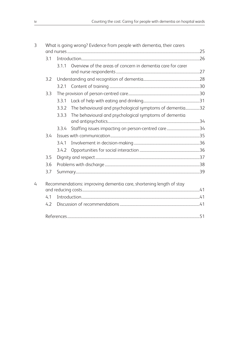| $\overline{3}$ | What is going wrong? Evidence from people with dementia, their carers |       |                                                                     |  |  |  |
|----------------|-----------------------------------------------------------------------|-------|---------------------------------------------------------------------|--|--|--|
|                |                                                                       |       |                                                                     |  |  |  |
|                | 3.1                                                                   |       |                                                                     |  |  |  |
|                |                                                                       | 3.1.1 | Overview of the areas of concern in dementia care for carer         |  |  |  |
|                |                                                                       |       |                                                                     |  |  |  |
|                | 3.2                                                                   |       |                                                                     |  |  |  |
|                |                                                                       | 3.2.1 |                                                                     |  |  |  |
|                | 3.3                                                                   |       |                                                                     |  |  |  |
|                |                                                                       | 3.3.1 |                                                                     |  |  |  |
|                |                                                                       | 3.3.2 | The behavioural and psychological symptoms of dementia32            |  |  |  |
|                |                                                                       | 3.3.3 | The behavioural and psychological symptoms of dementia              |  |  |  |
|                |                                                                       |       |                                                                     |  |  |  |
|                |                                                                       | 3.3.4 | Staffing issues impacting on person-centred care34                  |  |  |  |
|                | 3.4                                                                   |       |                                                                     |  |  |  |
|                |                                                                       | 3.4.1 |                                                                     |  |  |  |
|                |                                                                       | 3.4.2 |                                                                     |  |  |  |
|                | 3.5                                                                   |       |                                                                     |  |  |  |
|                | 3.6                                                                   |       |                                                                     |  |  |  |
|                | 3.7                                                                   |       |                                                                     |  |  |  |
| $\overline{4}$ |                                                                       |       | Recommendations: improving dementia care, shortening length of stay |  |  |  |
|                |                                                                       |       |                                                                     |  |  |  |
|                | 4.1                                                                   |       |                                                                     |  |  |  |
|                | 4.2                                                                   |       |                                                                     |  |  |  |
|                |                                                                       |       |                                                                     |  |  |  |
|                |                                                                       |       |                                                                     |  |  |  |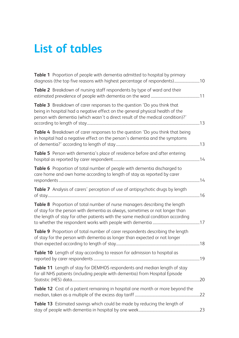# **List of tables**

| Table 1 Proportion of people with dementia admitted to hospital by primary<br>diagnosis (the top five reasons with highest percentage of respondents)10                                                                                       |  |
|-----------------------------------------------------------------------------------------------------------------------------------------------------------------------------------------------------------------------------------------------|--|
| Table 2 Breakdown of nursing staff respondents by type of ward and their                                                                                                                                                                      |  |
| Table 3 Breakdown of carer responses to the question 'Do you think that<br>being in hospital had a negative effect on the general physical health of the<br>person with dementia (which wasn't a direct result of the medical condition)?'    |  |
| Table 4 Breakdown of carer responses to the question 'Do you think that being<br>in hospital had a negative effect on the person's dementia and the symptoms                                                                                  |  |
| Table 5 Person with dementia's place of residence before and after entering                                                                                                                                                                   |  |
| Table 6 Proportion of total number of people with dementia discharged to<br>care home and own home according to length of stay as reported by carer                                                                                           |  |
| Table 7 Analysis of carers' perception of use of antipsychotic drugs by length                                                                                                                                                                |  |
| Table 8 Proportion of total number of nurse managers describing the length<br>of stay for the person with dementia as always, sometimes or not longer than<br>the length of stay for other patients with the same medical condition according |  |
| Table 9 Proportion of total number of carer respondents describing the length<br>of stay for the person with dementia as longer than expected or not longer                                                                                   |  |
| Table 10 Length of stay according to reason for admission to hospital as                                                                                                                                                                      |  |
| Table 11 Length of stay for DEMHOS respondents and median length of stay<br>for all NHS patients (including people with dementia) from Hospital Episode                                                                                       |  |
| Table 12 Cost of a patient remaining in hospital one month or more beyond the                                                                                                                                                                 |  |
| Table 13 Estimated savings which could be made by reducing the length of                                                                                                                                                                      |  |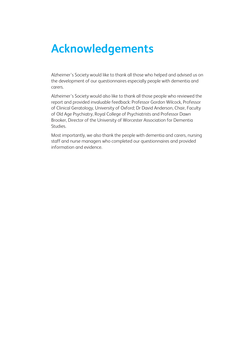# **Acknowledgements**

Alzheimer's Society would like to thank all those who helped and advised us on the development of our questionnaires especially people with dementia and carers.

Alzheimer's Society would also like to thank all those people who reviewed the report and provided invaluable feedback: Professor Gordon Wilcock, Professor of Clinical Geratology, University of Oxford; Dr David Anderson, Chair, Faculty of Old Age Psychiatry, Royal College of Psychiatrists and Professor Dawn Brooker, Director of the University of Worcester Association for Dementia Studies.

Most importantly, we also thank the people with dementia and carers, nursing staff and nurse managers who completed our questionnaires and provided information and evidence.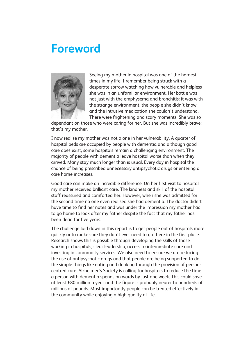# **Foreword**



Seeing my mother in hospital was one of the hardest times in my life. I remember being struck with a desperate sorrow watching how vulnerable and helpless she was in an unfamiliar environment. Her battle was not just with the emphysema and bronchitis: it was with the strange environment, the people she didn't know and the intrusive medication she couldn't understand. There were frightening and scary moments. She was so

dependant on those who were caring for her. But she was incredibly brave; that's my mother.

I now realise my mother was not alone in her vulnerability. A quarter of hospital beds are occupied by people with dementia and although good care does exist, some hospitals remain a challenging environment. The majority of people with dementia leave hospital worse than when they arrived. Many stay much longer than is usual. Every day in hospital the chance of being prescribed unnecessary antipsychotic drugs or entering a care home increases.

Good care can make an incredible difference. On her first visit to hospital my mother received brilliant care. The kindness and skill of the hospital staff reassured and comforted her. However, when she was admitted for the second time no one even realised she had dementia. The doctor didn't have time to find her notes and was under the impression my mother had to go home to look after my father despite the fact that my father has been dead for five years.

The challenge laid down in this report is to get people out of hospitals more quickly or to make sure they don't ever need to go there in the first place. Research shows this is possible through developing the skills of those working in hospitals, clear leadership, access to intermediate care and investing in community services. We also need to ensure we are reducing the use of antipsychotic drugs and that people are being supported to do the simple things like eating and drinking through the provision of personcentred care. Alzheimer's Society is calling for hospitals to reduce the time a person with dementia spends on wards by just one week. This could save at least £80 million a year and the figure is probably nearer to hundreds of millions of pounds. Most importantly people can be treated effectively in the community while enjoying a high quality of life.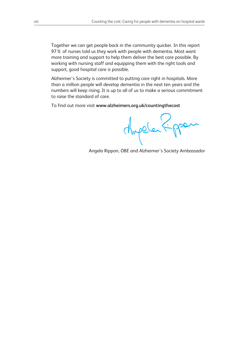Together we can get people back in the community quicker. In this report 97% of nurses told us they work with people with dementia. Most want more training and support to help them deliver the best care possible. By working with nursing staff and equipping them with the right tools and support, good hospital care is possible.

Alzheimer's Society is committed to putting care right in hospitals. More than a million people will develop dementia in the next ten years and the numbers will keep rising. It is up to all of us to make a serious commitment to raise the standard of care.

To find out more visit **www.alzheimers.org.uk/countingthecost**

Aupele Fpper.

Angela Rippon, OBE and Alzheimer's Society Ambassador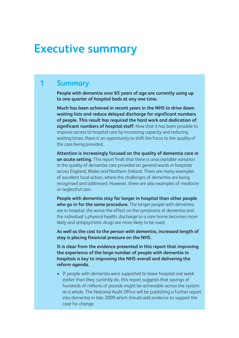# **Executive summary**

### **1 Summary**

**People with dementia over 65 years of age are currently using up to one quarter of hospital beds at any one time.**

**Much has been achieved in recent years in the NHS to drive down waiting lists and reduce delayed discharge for significant numbers of people. This result has required the hard work and dedication of significant numbers of hospital staff.** Now that it has been possible to improve access to hospital care by increasing capacity and reducing waiting times, there is an opportunity to shift the focus to the quality of the care being provided.

**Attention is increasingly focused on the quality of dementia care in an acute setting.** This report finds that there is unacceptable variation in the quality of dementia care provided on general wards in hospitals across England, Wales and Northern Ireland. There are many examples of excellent local action, where the challenges of dementia are being recognised and addressed. However, there are also examples of mediocre or neglectful care.

**People with dementia stay far longer in hospital than other people who go in for the same procedure.** The longer people with dementia are in hospital, the worse the effect on the symptoms of dementia and the individual's physical health; discharge to a care home becomes more likely and antipsychotic drugs are more likely to be used.

**As well as the cost to the person with dementia, increased length of stay is placing financial pressure on the NHS.**

**It is clear from the evidence presented in this report that improving the experience of the large number of people with dementia in hospitals is key to improving the NHS overall and delivering the reform agenda.**

• If people with dementia were supported to leave hospital one week earlier than they currently do, this report suggests that savings of hundreds of millions of pounds might be achievable across the system as a whole. The National Audit Office will be publishing a further report into dementia in late 2009 which should add evidence to support the case for change.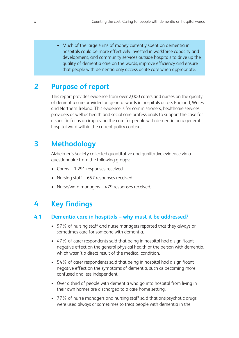• Much of the large sums of money currently spent on dementia in hospitals could be more effectively invested in workforce capacity and development, and community services outside hospitals to drive up the quality of dementia care on the wards, improve efficiency and ensure that people with dementia only access acute care when appropriate.

# **2 Purpose of report**

This report provides evidence from over 2,000 carers and nurses on the quality of dementia care provided on general wards in hospitals across England, Wales and Northern Ireland. This evidence is for commissioners, healthcare services providers as well as health and social care professionals to support the case for a specific focus on improving the care for people with dementia on a general hospital ward within the current policy context.

# **3 Methodology**

Alzheimer's Society collected quantitative and qualitative evidence via a questionnaire from the following groups:

- Carers 1,291 responses received
- Nursing staff 657 responses received
- Nurse/ward managers 479 responses received.

# **4 Key findings**

#### **4.1 Dementia care in hospitals – why must it be addressed?**

- 97% of nursing staff and nurse managers reported that they always or sometimes care for someone with dementia.
- 47% of carer respondents said that being in hospital had a significant negative effect on the general physical health of the person with dementia, which wasn't a direct result of the medical condition.
- 54% of carer respondents said that being in hospital had a significant negative effect on the symptoms of dementia, such as becoming more confused and less independent.
- Over a third of people with dementia who go into hospital from living in their own homes are discharged to a care home setting.
- 77% of nurse managers and nursing staff said that antipsychotic drugs were used always or sometimes to treat people with dementia in the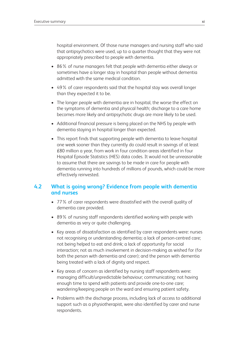hospital environment. Of those nurse managers and nursing staff who said that antipsychotics were used, up to a quarter thought that they were not appropriately prescribed to people with dementia.

- 86% of nurse managers felt that people with dementia either always or sometimes have a longer stay in hospital than people without dementia admitted with the same medical condition.
- 49% of carer respondents said that the hospital stay was overall longer than they expected it to be.
- The longer people with dementia are in hospital, the worse the effect on the symptoms of dementia and physical health; discharge to a care home becomes more likely and antipsychotic drugs are more likely to be used.
- Additional financial pressure is being placed on the NHS by people with dementia staying in hospital longer than expected.
- This report finds that supporting people with dementia to leave hospital one week sooner than they currently do could result in savings of at least £80 million a year, from work in four condition areas identified in four Hospital Episode Statistics (HES) data codes. It would not be unreasonable to assume that there are savings to be made in care for people with dementia running into hundreds of millions of pounds, which could be more effectively reinvested.

#### **4.2 What is going wrong? Evidence from people with dementia and nurses**

- 77% of carer respondents were dissatisfied with the overall quality of dementia care provided.
- 89% of nursing staff respondents identified working with people with dementia as very or quite challenging.
- Key areas of dissatisfaction as identified by carer respondents were: nurses not recognising or understanding dementia; a lack of person-centred care; not being helped to eat and drink; a lack of opportunity for social interaction; not as much involvement in decision-making as wished for (for both the person with dementia and carer); and the person with dementia being treated with a lack of dignity and respect.
- Key areas of concern as identified by nursing staff respondents were: managing difficult/unpredictable behaviour; communicating; not having enough time to spend with patients and provide one-to-one care; wandering/keeping people on the ward and ensuring patient safety.
- Problems with the discharge process, including lack of access to additional support such as a physiotherapist, were also identified by carer and nurse respondents.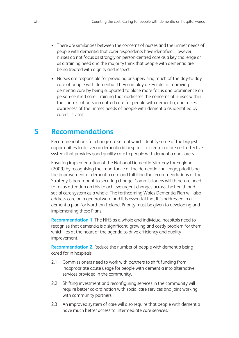- There are similarities between the concerns of nurses and the unmet needs of people with dementia that carer respondents have identified. However, nurses do not focus as strongly on person-centred care as a key challenge or as a training need and the majority think that people with dementia are being treated with dignity and respect.
- Nurses are responsible for providing or supervising much of the day-to-day care of people with dementia. They can play a key role in improving dementia care by being supported to place more focus and prominence on person-centred care. Training that addresses the concerns of nurses within the context of person-centred care for people with dementia, and raises awareness of the unmet needs of people with dementia as identified by carers, is vital.

# **5 Recommendations**

Recommendations for change are set out which identify some of the biggest opportunities to deliver on dementia in hospitals to create a more cost-effective system that provides good quality care to people with dementia and carers.

Ensuring implementation of the National Dementia Strategy for England (2009) by recognising the importance of the dementia challenge, prioritising the improvement of dementia care and fulfilling the recommendations of the Strategy is paramount to securing change. Commissioners will therefore need to focus attention on this to achieve urgent changes across the health and social care system as a whole. The forthcoming Wales Dementia Plan will also address care on a general ward and it is essential that it is addressed in a dementia plan for Northern Ireland. Priority must be given to developing and implementing these Plans.

**Recommendation 1.** The NHS as a whole and individual hospitals need to recognise that dementia is a significant, growing and costly problem for them, which lies at the heart of the agenda to drive efficiency and quality improvement.

**Recommendation 2.** Reduce the number of people with dementia being cared for in hospitals.

- 2.1 Commissioners need to work with partners to shift funding from inappropriate acute usage for people with dementia into alternative services provided in the community.
- 2.2 Shifting investment and reconfiguring services in the community will require better co-ordination with social care services and joint working with community partners.
- 2.3 An improved system of care will also require that people with dementia have much better access to intermediate care services.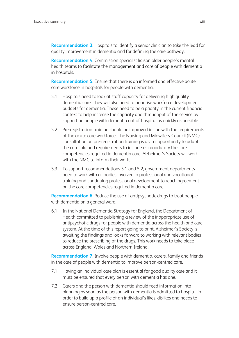**Recommendation 3.** Hospitals to identify a senior clinician to take the lead for quality improvement in dementia and for defining the care pathway.

**Recommendation 4.** Commission specialist liaison older people's mental health teams to facilitate the management and care of people with dementia in hospitals.

**Recommendation 5.** Ensure that there is an informed and effective acute care workforce in hospitals for people with dementia.

- 5.1 Hospitals need to look at staff capacity for delivering high quality dementia care. They will also need to prioritise workforce development budgets for dementia. These need to be a priority in the current financial context to help increase the capacity and throughput of the service by supporting people with dementia out of hospital as quickly as possible.
- 5.2 Pre-registration training should be improved in line with the requirements of the acute care workforce. The Nursing and Midwifery Council (NMC) consultation on pre-registration training is a vital opportunity to adapt the curricula and requirements to include as mandatory the core competencies required in dementia care. Alzheimer's Society will work with the NMC to inform their work.
- 5.3 To support recommendations 5.1 and 5.2, government departments need to work with all bodies involved in professional and vocational training and continuing professional development to reach agreement on the core competencies required in dementia care.

**Recommendation 6.** Reduce the use of antipsychotic drugs to treat people with dementia on a general ward.

6.1 In the National Dementia Strategy for England, the Department of Health committed to publishing a review of the inappropriate use of antipsychotic drugs for people with dementia across the health and care system. At the time of this report going to print, Alzheimer's Society is awaiting the findings and looks forward to working with relevant bodies to reduce the prescribing of the drugs. This work needs to take place across England, Wales and Northern Ireland.

**Recommendation 7.** Involve people with dementia, carers, family and friends in the care of people with dementia to improve person-centred care.

- 7.1 Having an individual care plan is essential for good quality care and it must be ensured that every person with dementia has one.
- 7.2 Carers and the person with dementia should feed information into planning as soon as the person with dementia is admitted to hospital in order to build up a profile of an individual's likes, dislikes and needs to ensure person-centred care.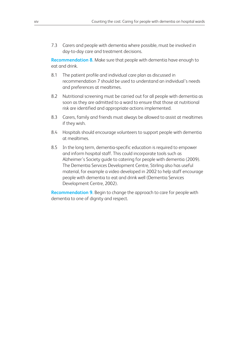7.3 Carers and people with dementia where possible, must be involved in day-to-day care and treatment decisions.

**Recommendation 8.** Make sure that people with dementia have enough to eat and drink.

- 8.1 The patient profile and individual care plan as discussed in recommendation 7 should be used to understand an individual's needs and preferences at mealtimes.
- 8.2 Nutritional screening must be carried out for all people with dementia as soon as they are admitted to a ward to ensure that those at nutritional risk are identified and appropriate actions implemented.
- 8.3 Carers, family and friends must always be allowed to assist at mealtimes if they wish.
- 8.4 Hospitals should encourage volunteers to support people with dementia at mealtimes.
- 8.5 In the long term, dementia-specific education is required to empower and inform hospital staff. This could incorporate tools such as Alzheimer's Society guide to catering for people with dementia (2009). The Dementia Services Development Centre, Stirling also has useful material, for example a video developed in 2002 to help staff encourage people with dementia to eat and drink well (Dementia Services Development Centre, 2002).

**Recommendation 9.** Begin to change the approach to care for people with dementia to one of dignity and respect.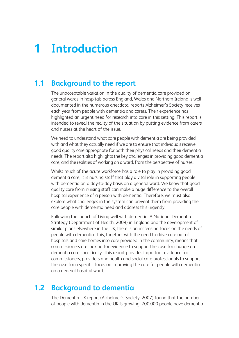# **1 Introduction**

# **1.1 Background to the report**

The unacceptable variation in the quality of dementia care provided on general wards in hospitals across England, Wales and Northern Ireland is well documented in the numerous anecdotal reports Alzheimer's Society receives each year from people with dementia and carers. Their experience has highlighted an urgent need for research into care in this setting. This report is intended to reveal the reality of the situation by putting evidence from carers and nurses at the heart of the issue.

We need to understand what care people with dementia are being provided with and what they actually need if we are to ensure that individuals receive good quality care appropriate for both their physical needs and their dementia needs. The report also highlights the key challenges in providing good dementia care, and the realities of working on a ward, from the perspective of nurses.

Whilst much of the acute workforce has a role to play in providing good dementia care, it is nursing staff that play a vital role in supporting people with dementia on a day-to-day basis on a general ward. We know that good quality care from nursing staff can make a huge difference to the overall hospital experience of a person with dementia. Therefore, we must also explore what challenges in the system can prevent them from providing the care people with dementia need and address this urgently.

Following the launch of Living well with dementia: A National Dementia Strategy (Department of Health, 2009) in England and the development of similar plans elsewhere in the UK, there is an increasing focus on the needs of people with dementia. This, together with the need to drive care out of hospitals and care homes into care provided in the community, means that commissioners are looking for evidence to support the case for change on dementia care specifically. This report provides important evidence for commissioners, providers and health and social care professionals to support the case for a specific focus on improving the care for people with dementia on a general hospital ward.

## **1.2 Background to dementia**

The Dementia UK report (Alzheimer's Society, 2007) found that the number of people with dementia in the UK is growing. 700,000 people have dementia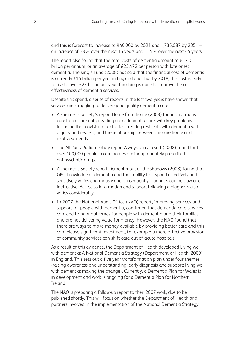and this is forecast to increase to 940,000 by 2021 and 1,735,087 by 2051 – an increase of 38% over the next 15 years and 154% over the next 45 years.

The report also found that the total costs of dementia amount to £17.03 billion per annum, or an average of £25,472 per person with late onset dementia. The King's Fund (2008) has said that the financial cost of dementia is currently £15 billion per year in England and that by 2018, this cost is likely to rise to over £23 billion per year if nothing is done to improve the costeffectiveness of dementia services.

Despite this spend, a series of reports in the last two years have shown that services are struggling to deliver good quality dementia care:

- Alzheimer's Society's report Home from home (2008) found that many care homes are not providing good dementia care, with key problems including the provision of activities, treating residents with dementia with dignity and respect, and the relationship between the care home and relatives/friends.
- The All Party Parliamentary report Always a last resort (2008) found that over 100,000 people in care homes are inappropriately prescribed antipsychotic drugs.
- Alzheimer's Society report Dementia out of the shadows (2008) found that GPs' knowledge of dementia and their ability to respond effectively and sensitively varies enormously and consequently diagnosis can be slow and ineffective. Access to information and support following a diagnosis also varies considerably.
- In 2007 the National Audit Office (NAO) report, Improving services and support for people with dementia, confirmed that dementia care services can lead to poor outcomes for people with dementia and their families and are not delivering value for money. However, the NAO found that there are ways to make money available by providing better care and this can release significant investment, for example a more effective provision of community services can shift care out of acute hospitals.

As a result of this evidence, the Department of Health developed Living well with dementia: A National Dementia Strategy (Department of Health, 2009) in England. This sets out a five year transformation plan under four themes (raising awareness and understanding; early diagnosis and support; living well with dementia; making the change). Currently, a Dementia Plan for Wales is in development and work is ongoing for a Dementia Plan for Northern Ireland.

The NAO is preparing a follow-up report to their 2007 work, due to be published shortly. This will focus on whether the Department of Health and partners involved in the implementation of the National Dementia Strategy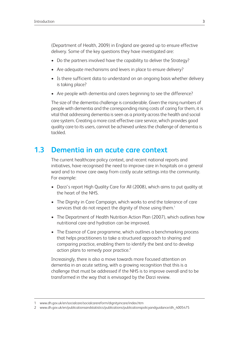(Department of Health, 2009) in England are geared up to ensure effective delivery. Some of the key questions they have investigated are:

- Do the partners involved have the capability to deliver the Strategy?
- Are adequate mechanisms and levers in place to ensure delivery?
- Is there sufficient data to understand on an ongoing basis whether delivery is taking place?
- Are people with dementia and carers beginning to see the difference?

The size of the dementia challenge is considerable. Given the rising numbers of people with dementia and the corresponding rising costs of caring for them, it is vital that addressing dementia is seen as a priority across the health and social care system. Creating a more cost-effective care service, which provides good quality care to its users, cannot be achieved unless the challenge of dementia is tackled.

### **1.3 Dementia in an acute care context**

The current healthcare policy context, and recent national reports and initiatives, have recognised the need to improve care in hospitals on a general ward and to move care away from costly acute settings into the community. For example:

- Darzi's report High Quality Care for All (2008), which aims to put quality at the heart of the NHS.
- The Dignity in Care Campaign, which works to end the tolerance of care services that do not respect the dignity of those using them.<sup>1</sup>
- The Department of Health Nutrition Action Plan (2007), which outlines how nutritional care and hydration can be improved.
- The Essence of Care programme, which outlines a benchmarking process that helps practitioners to take a structured approach to sharing and comparing practice, enabling them to identify the best and to develop action plans to remedy poor practice.<sup>2</sup>

Increasingly, there is also a move towards more focused attention on dementia in an acute setting, with a growing recognition that this is a challenge that must be addressed if the NHS is to improve overall and to be transformed in the way that is envisaged by the Darzi review.

<sup>1</sup> www.dh.gov.uk/en/socialcare/socialcarereform/dignityincare/index.htm

<sup>2</sup> www.dh.gov.uk/en/publicationsandstatistics/publications/publicationspolicyandguidance/dh\_4005475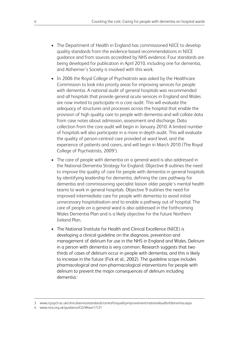- The Department of Health in England has commissioned NICE to develop quality standards from the evidence-based recommendations in NICE guidance and from sources accredited by NHS evidence. Four standards are being developed for publication in April 2010, including one for dementia, and Alzheimer's Society is involved with this work.
- In 2006 the Royal College of Psychiatrists was asked by the Healthcare Commission to look into priority areas for improving services for people with dementia. A national audit of general hospitals was recommended and all hospitals that provide general acute services in England and Wales are now invited to participate in a core audit. This will evaluate the adequacy of structures and processes across the hospital that enable the provision of high quality care to people with dementia and will collate data from case notes about admission, assessment and discharge. Data collection from the core audit will begin in January 2010. A limited number of hospitals will also participate in a more in-depth audit. This will evaluate the quality of person-centred care provided at ward level, and the experience of patients and carers, and will begin in March 2010 (The Royal College of Psychiatrists, 2009<sup>3</sup>).
- The care of people with dementia on a general ward is also addressed in the National Dementia Strategy for England. Objective 8 outlines the need to improve the quality of care for people with dementia in general hospitals by identifying leadership for dementia, defining the care pathway for dementia and commissioning specialist liaison older people's mental health teams to work in general hospitals. Objective 9 outlines the need for improved intermediate care for people with dementia to avoid initial unnecessary hospitalisation and to enable a pathway out of hospital. The care of people on a general ward is also addressed in the forthcoming Wales Dementia Plan and is a likely objective for the future Northern Ireland Plan.
- The National Institute for Health and Clinical Excellence (NICE) is developing a clinical guideline on the diagnosis, prevention and management of delirium for use in the NHS in England and Wales. Delirium in a person with dementia is very common. Research suggests that two thirds of cases of delirium occur in people with dementia, and this is likely to increase in the future (Fick et al., 2002). The guideline scope includes pharmacological and non-pharmacological interventions for people with delirium to prevent the major consequences of delirium including dementia. 4

<sup>3</sup> www.rcpsych.ac.uk/clinicalservicestandards/centreforqualityimprovement/nationalauditofdementia.aspx

<sup>4</sup> www.nice.org.uk/guidance/CG/Wave17/21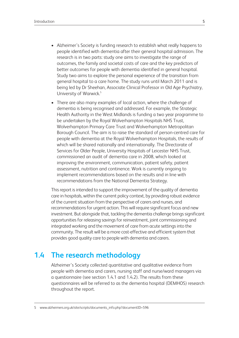- Alzheimer's Society is funding research to establish what really happens to people identified with dementia after their general hospital admission. The research is in two parts: study one aims to investigate the range of outcomes, the family and societal costs of care and the key predictors of better outcomes for people with dementia identified in general hospital. Study two aims to explore the personal experience of the transition from general hospital to a care home. The study runs until March 2011 and is being led by Dr Sheehan, Associate Clinical Professor in Old Age Psychiatry, University of Warwick. 5
- There are also many examples of local action, where the challenge of dementia is being recognised and addressed. For example, the Strategic Health Authority in the West Midlands is funding a two year programme to be undertaken by the Royal Wolverhampton Hospitals NHS Trust, Wolverhampton Primary Care Trust and Wolverhampton Metropolitan Borough Council. The aim is to raise the standard of person-centred care for people with dementia at the Royal Wolverhampton Hospitals, the results of which will be shared nationally and internationally. The Directorate of Services for Older People, University Hospitals of Leicester NHS Trust, commissioned an audit of dementia care in 2008, which looked at improving the environment, communication, patient safety, patient assessment, nutrition and continence. Work is currently ongoing to implement recommendations based on the results and in line with recommendations from the National Dementia Strategy.

This report is intended to support the improvement of the quality of dementia care in hospitals, within the current policy context, by providing robust evidence of the current situation from the perspective of carers and nurses, and recommendations for urgent action. This will require significant focus and new investment. But alongside that, tackling the dementia challenge brings significant opportunities for releasing savingsfor reinvestment, joint commissioning and integrated working and the movement of care from acute settings into the community. The result will be a more cost-effective and efficient system that provides good quality care to people with dementia and carers.

## **1.4 The research methodology**

Alzheimer's Society collected quantitative and qualitative evidence from people with dementia and carers, nursing staff and nurse/ward managers via a questionnaire (see section 1.4.1 and 1.4.2). The results from these questionnaires will be referred to as the dementia hospital (DEMHOS) research throughout the report.

<sup>5</sup> www.alzheimers.org.uk/site/scripts/documents\_info.php?documentID=596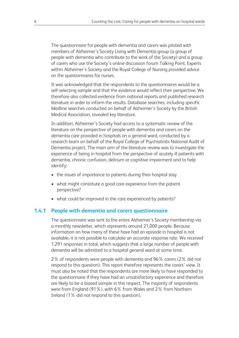The questionnaire for people with dementia and carers was piloted with members of Alzheimer's Society Living with Dementia group (a group of people with dementia who contribute to the work of the Society) and a group of carers who use the Society's online discussion forum Talking Point. Experts within Alzheimer's Society and the Royal College of Nursing provided advice on the questionnaires for nurses.

It was acknowledged that the respondents to the questionnaires would be a self-selecting sample and that the evidence would reflect their perspective. We therefore also collected evidence from national reports and published research literature in order to inform the results. Database searches, including specific Medline searches conducted on behalf of Alzheimer's Society by the British Medical Association, revealed key literature.

In addition, Alzheimer's Society had access to a systematic review of the literature on the perspective of people with dementia and carers on the dementia care provided in hospitals on a general ward, conducted by a research team on behalf of the Royal College of Psychiatrists National Audit of Dementia project. The main aim of the literature review was to investigate the experience of being in hospital from the perspective of acutely ill patients with dementia, chronic confusion, delirium or cognitive impairment and to help identify:

- the issues of importance to patients during their hospital stay
- what might constitute a good care experience from the patient perspective?
- what could be improved in the care experienced by patients?

#### **1.4.1 People with dementia and carers questionnaire**

The questionnaire was sent to the entire Alzheimer's Society membership via a monthly newsletter, which represents around 21,000 people. Because information on how many of these have had an episode in hospital is not available, it is not possible to calculate an accurate response rate. We received 1,291 responses in total, which suggests that a large number of people with dementia will be admitted to a hospital general ward at some time.

2% of respondents were people with dementia and 96% carers (2% did not respond to this question). This report therefore represents the carers' view. It must also be noted that the respondents are more likely to have responded to the questionnaire if they have had an unsatisfactory experience and therefore are likely to be a biased sample in this respect. The majority of respondents were from England (91%), with 6% from Wales and 2% from Northern Ireland (1% did not respond to this question).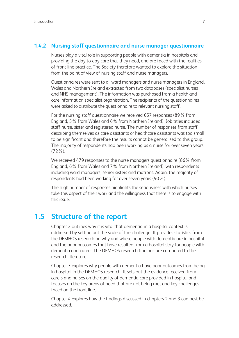#### **1.4.2 Nursing staff questionnaire and nurse manager questionnaire**

Nurses play a vital role in supporting people with dementia in hospitals and providing the day-to-day care that they need, and are faced with the realities of front line practice. The Society therefore wanted to explore the situation from the point of view of nursing staff and nurse managers.

Questionnaires were sent to all ward managers and nurse managers in England, Wales and Northern Ireland extracted from two databases (specialist nurses and NHS management). The information was purchased from a health and care information specialist organisation. The recipients of the questionnaires were asked to distribute the questionnaire to relevant nursing staff.

For the nursing staff questionnaire we received 657 responses (89% from England, 5% from Wales and 6% from Northern Ireland). Job titles included staff nurse, sister and registered nurse. The number of responses from staff describing themselves as care assistants or healthcare assistants was too small to be significant and therefore the results cannot be generalised to this group. The majority of respondents had been working as a nurse for over seven years (72%).

We received 479 responses to the nurse managers questionnaire (86% from England, 6% from Wales and 7% from Northern Ireland), with respondents including ward managers, senior sisters and matrons. Again, the majority of respondents had been working for over seven years (90%).

The high number of responses highlights the seriousness with which nurses take this aspect of their work and the willingness that there is to engage with this issue.

### **1.5 Structure of the report**

Chapter 2 outlines why it is vital that dementia in a hospital context is addressed by setting out the scale of the challenge. It provides statistics from the DEMHOS research on why and where people with dementia are in hospital and the poor outcomes that have resulted from a hospital stay for people with dementia and carers. The DEMHOS research findings are compared to the research literature.

Chapter 3 explores why people with dementia have poor outcomes from being in hospital in the DEMHOS research. It sets out the evidence received from carers and nurses on the quality of dementia care provided in hospital and focuses on the key areas of need that are not being met and key challenges faced on the front line.

Chapter 4 explores how the findings discussed in chapters 2 and 3 can best be addressed.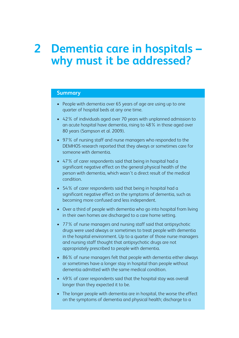# **<sup>2</sup> Dementia care in hospitals – why must it be addressed?**

#### **Summary**

- People with dementia over 65 years of age are using up to one quarter of hospital beds at any one time.
- 42% of individuals aged over 70 years with unplanned admission to an acute hospital have dementia, rising to 48% in those aged over 80 years (Sampson et al. 2009).
- 97% of nursing staff and nurse managers who responded to the DEMHOS research reported that they always or sometimes care for someone with dementia.
- 47% of carer respondents said that being in hospital had a significant negative effect on the general physical health of the person with dementia, which wasn't a direct result of the medical condition.
- 54% of carer respondents said that being in hospital had a significant negative effect on the symptoms of dementia, such as becoming more confused and less independent.
- Over a third of people with dementia who go into hospital from living in their own homes are discharged to a care home setting.
- 77% of nurse managers and nursing staff said that antipsychotic drugs were used always or sometimes to treat people with dementia in the hospital environment. Up to a quarter of those nurse managers and nursing staff thought that antipsychotic drugs are not appropriately prescribed to people with dementia.
- 86% of nurse managers felt that people with dementia either always or sometimes have a longer stay in hospital than people without dementia admitted with the same medical condition.
- 49% of carer respondents said that the hospital stay was overall longer than they expected it to be.
- The longer people with dementia are in hospital, the worse the effect on the symptoms of dementia and physical health; discharge to a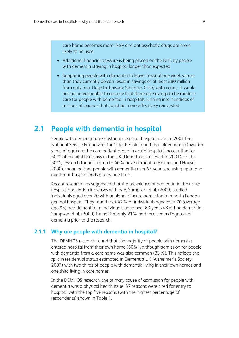care home becomes more likely and antipsychotic drugs are more likely to be used.

- Additional financial pressure is being placed on the NHS by people with dementia staying in hospital longer than expected.
- Supporting people with dementia to leave hospital one week sooner than they currently do can result in savings of at least £80 million from only four Hospital Episode Statistics (HES) data codes. It would not be unreasonable to assume that there are savings to be made in care for people with dementia in hospitals running into hundreds of millions of pounds that could be more effectively reinvested.

### **2.1 People with dementia in hospital**

People with dementia are substantial users of hospital care. In 2001 the National Service Framework for Older People found that older people (over 65 years of age) are the core patient group in acute hospitals, accounting for 60% of hospital bed days in the UK (Department of Health, 2001). Of this 60%, research found that up to 40% have dementia (Holmes and House, 2000), meaning that people with dementia over 65 years are using up to one quarter of hospital beds at any one time.

Recent research has suggested that the prevalence of dementia in the acute hospital population increases with age. Sampson et al. (2009) studied individuals aged over 70 with unplanned acute admission to a north London general hospital. They found that 42% of individuals aged over 70 (average age 83) had dementia. In individuals aged over 80 years 48% had dementia. Sampson et al. (2009) found that only 21% had received a diagnosis of dementia prior to the research.

#### **2.1.1 Why are people with dementia in hospital?**

The DEMHOS research found that the majority of people with dementia entered hospital from their own home (60%), although admission for people with dementia from a care home was also common (33%). This reflects the split in residential status estimated in Dementia UK (Alzheimer's Society, 2007) with two thirds of people with dementia living in their own homes and one third living in care homes.

In the DEMHOS research, the primary cause of admission for people with dementia was a physical health issue. 37 reasons were cited for entry to hospital, with the top five reasons (with the highest percentage of respondents) shown in Table 1.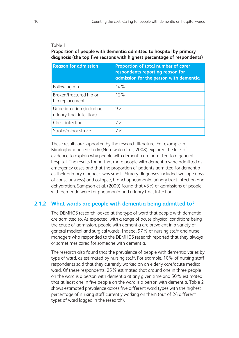#### Table 1

**Proportion of people with dementia admitted to hospital by primary diagnosis (the top five reasons with highest percentage of respondents)**

| <b>Reason for admission</b>                            | <b>Proportion of total number of carer</b><br>respondents reporting reason for<br>admission for the person with dementia |
|--------------------------------------------------------|--------------------------------------------------------------------------------------------------------------------------|
| Following a fall                                       | 14%                                                                                                                      |
| Broken/fractured hip or<br>hip replacement             | 12%                                                                                                                      |
| Urine infection (including<br>urinary tract infection) | 9%                                                                                                                       |
| Chest infection                                        | $7\%$                                                                                                                    |
| Stroke/minor stroke                                    | 7%                                                                                                                       |

These results are supported by the research literature. For example, a Birmingham-based study (Natalwala et al., 2008) explored the lack of evidence to explain why people with dementia are admitted to a general hospital. The results found that more people with dementia were admitted as emergency cases and that the proportion of patients admitted for dementia as their primary diagnosis was small. Primary diagnoses included syncope (loss of consciousness) and collapse, bronchopneumonia, urinary tract infection and dehydration. Sampson et al. (2009) found that 43% of admissions of people with dementia were for pneumonia and urinary tract infection.

#### **2.1.2 What wards are people with dementia being admitted to?**

The DEMHOS research looked at the type of ward that people with dementia are admitted to. As expected, with a range of acute physical conditions being the cause of admission, people with dementia are prevalent in a variety of general medical and surgical wards. Indeed, 97% of nursing staff and nurse managers who responded to the DEMHOS research reported that they always or sometimes cared for someone with dementia.

The research also found that the prevalence of people with dementia varies by type of ward, as estimated by nursing staff. For example, 10% of nursing staff respondents said that they currently worked on an elderly care/acute medical ward. Of these respondents, 25% estimated that around one in three people on the ward is a person with dementia at any given time and 50% estimated that at least one in five people on the ward is a person with dementia. Table 2 shows estimated prevalence across five different ward types with the highest percentage of nursing staff currently working on them (out of 24 different types of ward logged in the research).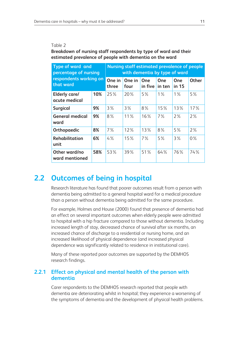#### Table 2

**Breakdown of nursing staff respondents by type of ward and their estimated prevalence of people with dementia on the ward**

| <b>Type of ward and</b><br>percentage of nursing | <b>Nursing staff estimated prevalence of people</b><br>with dementia by type of ward |                 |                |                |               |              |              |
|--------------------------------------------------|--------------------------------------------------------------------------------------|-----------------|----------------|----------------|---------------|--------------|--------------|
| respondents working on<br>that ward              |                                                                                      | One in<br>three | One in<br>four | One<br>in five | One<br>in ten | One<br>in 15 | <b>Other</b> |
| <b>Elderly care/</b><br>acute medical            | 10%                                                                                  | 25%             | 20%            | 5%             | $1\%$         | $1\%$        | 5%           |
| <b>Surgical</b>                                  | 9%                                                                                   | 3%              | 3%             | 8%             | 15%           | 13%          | 17%          |
| <b>General medical</b><br>ward                   | 9%                                                                                   | $8\%$           | $11\%$         | 16%            | $7\%$         | 2%           | 2%           |
| Orthopaedic                                      | 8%                                                                                   | $7\%$           | 12%            | 13%            | 8%            | 5%           | 2%           |
| Rehabilitation<br>unit                           | 6%                                                                                   | 4%              | 15%            | $7\%$          | 5%            | 3%           | $0\%$        |
| Other ward/no<br>ward mentioned                  | 58%                                                                                  | 53%             | 39%            | 51%            | 64%           | 76%          | 74%          |

### **2.2 Outcomes of being in hospital**

Research literature has found that poorer outcomes result from a person with dementia being admitted to a general hospital ward for a medical procedure than a person without dementia being admitted for the same procedure.

For example, Holmes and House (2000) found that presence of dementia had an effect on several important outcomes when elderly people were admitted to hospital with a hip fracture compared to those without dementia. Including increased length of stay, decreased chance of survival after six months, an increased chance of discharge to a residential or nursing home, and an increased likelihood of physical dependence (and increased physical dependence was significantly related to residence in institutional care).

Many of these reported poor outcomes are supported by the DEMHOS research findings.

#### **2.2.1 Effect on physical and mental health of the person with dementia**

Carer respondents to the DEMHOS research reported that people with dementia are deteriorating whilst in hospital; they experience a worsening of the symptoms of dementia and the development of physical health problems.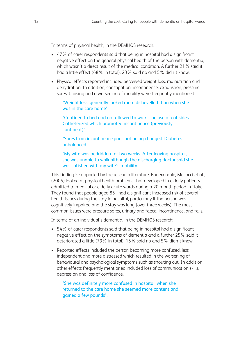In terms of physical health, in the DEMHOS research:

- 47% of carer respondents said that being in hospital had a significant negative effect on the general physical health of the person with dementia, which wasn't a direct result of the medical condition. A further 21% said it had a little effect (68% in total), 23% said no and 5% didn't know.
- Physical effects reported included perceived weight loss, malnutrition and dehydration. In addition, constipation, incontinence, exhaustion, pressure sores, bruising and a worsening of mobility were frequently mentioned.

'Weight loss, generally looked more dishevelled than when she was in the care home'.

'Confined to bed and not allowed to walk. The use of cot sides. Catheterized which promoted incontinence (previously continent)'.

'Sores from incontinence pads not being changed. Diabetes unbalanced'.

'My wife was bedridden for two weeks. After leaving hospital, she was unable to walk although the discharging doctor said she was satisfied with my wife's mobility'.

This finding is supported by the research literature. For example, Mecocci et al., (2005) looked at physical health problems that developed in elderly patients admitted to medical or elderly acute wards during a 20 month period in Italy. They found that people aged 85+ had a significant increased risk of several health issues during the stay in hospital, particularly if the person was cognitively impaired and the stay was long (over three weeks). The most common issues were pressure sores, urinary and faecal incontinence, and falls.

In terms of an individual's dementia, in the DEMHOS research:

- 54% of carer respondents said that being in hospital had a significant negative effect on the symptoms of dementia and a further 25% said it deteriorated a little (79% in total), 15% said no and 5% didn't know.
- Reported effects included the person becoming more confused, less independent and more distressed which resulted in the worsening of behavioural and psychological symptoms such as shouting out. In addition, other effects frequently mentioned included loss of communication skills, depression and loss of confidence.

'She was definitely more confused in hospital; when she returned to the care home she seemed more content and gained a few pounds'.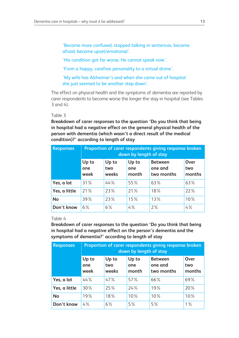'Became more confused, stopped talking in sentences, became afraid, became upset/emotional'.

'His condition got far worse. He cannot speak now'.

'From a happy, carefree personality to a virtual drone'.

'My wife has Alzheimer's and when she came out of hospital she just seemed to be another step down'.

The effect on physical health and the symptoms of dementia are reported by carer respondents to become worse the longer the stay in hospital (see Tables 3 and 4).

#### Table 3

**Breakdown of carer responses to the question 'Do you think that being in hospital had a negative effect on the general physical health of the person with dementia (which wasn't a direct result of the medical condition)?' according to length of stay**

| <b>Responses</b> |                      | Proportion of carer respondents giving response broken<br>down by length of stay |                       |                                         |                       |  |  |
|------------------|----------------------|----------------------------------------------------------------------------------|-----------------------|-----------------------------------------|-----------------------|--|--|
|                  | Up to<br>one<br>week | Up to<br>two<br>weeks                                                            | Up to<br>one<br>month | <b>Between</b><br>one and<br>two months | Over<br>two<br>months |  |  |
| Yes, a lot       | 31%                  | 44%                                                                              | 55%                   | 63%                                     | 63%                   |  |  |
| Yes, a little    | 21%                  | 23%                                                                              | 21%                   | 18%                                     | 22%                   |  |  |
| <b>No</b>        | 39%                  | 23%                                                                              | 15%                   | 13%                                     | 10%                   |  |  |
| Don't know       | $6\%$                | 6%                                                                               | 4%                    | 2%                                      | 4%                    |  |  |

#### Table 4

**Breakdown of carer responses to the question 'Do you think that being in hospital had a negative effect on the person's dementia and the symptoms of dementia?' according to length of stay**

| <b>Responses</b> | Proportion of carer respondents giving response broken<br>down by length of stay |                       |                       |                                         |                       |  |
|------------------|----------------------------------------------------------------------------------|-----------------------|-----------------------|-----------------------------------------|-----------------------|--|
|                  | Up to<br>one<br>week                                                             | Up to<br>two<br>weeks | Up to<br>one<br>month | <b>Between</b><br>one and<br>two months | Over<br>two<br>months |  |
| Yes, a lot       | 44%                                                                              | 47%                   | 57%                   | 66%                                     | 69%                   |  |
| Yes, a little    | 30%                                                                              | 25%                   | 24%                   | 19%                                     | 20%                   |  |
| <b>No</b>        | 19%                                                                              | 18%                   | 10%                   | 10%                                     | 10%                   |  |
| Don't know       | 4%                                                                               | 6%                    | 5%                    | 5%                                      | $1\%$                 |  |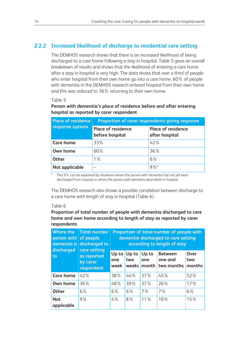#### **2.2.2 Increased likelihood of discharge to residential care setting**

The DEMHOS research shows that there is an increased likelihood of being discharged to a care home following a stay in hospital. Table 5 gives an overall breakdown of results and shows that the likelihood of entering a care home after a stay in hospital is very high. The data shows that over a third of people who enter hospital from their own home go into a care home. 60% of people with dementia in the DEMHOS research entered hospital from their own home and this was reduced to 36% returning to their own home.

#### Table 5

#### **Person with dementia's place of residence before and after entering hospital as reported by carer respondent**

| <b>Place of residence</b> | Proportion of carer respondents giving response |                                      |  |  |  |
|---------------------------|-------------------------------------------------|--------------------------------------|--|--|--|
| response options          | Place of residence<br>before hospital           | Place of residence<br>after hospital |  |  |  |
| <b>Care home</b>          | $33\%$                                          | 42%                                  |  |  |  |
| Own home                  | 60%                                             | 36%                                  |  |  |  |
| <b>Other</b>              | $1\%$                                           | 6%                                   |  |  |  |
| Not applicable            |                                                 | $9%$ *                               |  |  |  |

This 9% can be explained by situations where the person with dementia has not yet been discharged from hospital or where the person with dementia died whilst in hospital.

The DEMHOS research also shows a possible correlation between discharge to a care home with length of stay in hospital (Table 6).

#### Table 6

**Proportion of total number of people with dementia discharged to care home and own home according to length of stay as reported by carer respondents**

| <b>Where the</b><br>person with of people<br>dementia is | <b>Total number</b><br>discharged to                  | Proportion of total number of people with<br>dementia discharged to care setting<br>according to length of stay |              |                             |                                         |                       |  |
|----------------------------------------------------------|-------------------------------------------------------|-----------------------------------------------------------------------------------------------------------------|--------------|-----------------------------|-----------------------------------------|-----------------------|--|
| discharged<br>to                                         | care setting<br>as reported<br>by carer<br>respondent | Up to<br>one<br>week                                                                                            | Up to<br>two | Up to<br>one<br>weeks month | <b>Between</b><br>one and<br>two months | Over<br>two<br>months |  |
| <b>Care home</b>                                         | 42%                                                   | 38%                                                                                                             | 44%          | 37%                         | 45%                                     | 52%                   |  |
| Own home                                                 | 36%                                                   | 48%                                                                                                             | 39%          | 37%                         | 26%                                     | 17%                   |  |
| <b>Other</b>                                             | 6%                                                    | 6%                                                                                                              | 6%           | $7\%$                       | $7\%$                                   | 6%                    |  |
| <b>Not</b><br>applicable                                 | 9%                                                    | 4%                                                                                                              | 8%           | $11\%$                      | 10%                                     | 15%                   |  |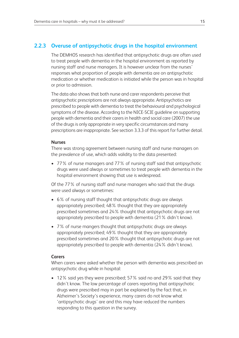#### **2.2.3 Overuse of antipsychotic drugs in the hospital environment**

The DEMHOS research has identified that antipsychotic drugs are often used to treat people with dementia in the hospital environment as reported by nursing staff and nurse managers. It is however unclear from the nurses' responses what proportion of people with dementia are on antipsychotic medication or whether medication is initiated while the person was in hospital or prior to admission.

The data also shows that both nurse and carer respondents perceive that antipsychotic prescriptions are not always appropriate. Antipsychotics are prescribed to people with dementia to treat the behavioural and psychological symptoms of the disease. According to the NICE-SCIE guideline on supporting people with dementia and their carers in health and social care (2007) the use of the drugs is only appropriate in very specific circumstances and many prescriptions are inappropriate. See section 3.3.3 of this report for further detail.

#### **Nurses**

There was strong agreement between nursing staff and nurse managers on the prevalence of use, which adds validity to the data presented:

• 77% of nurse managers and 77% of nursing staff said that antipsychotic drugs were used always or sometimes to treat people with dementia in the hospital environment showing that use is widespread.

Of the 77% of nursing staff and nurse managers who said that the drugs were used always or sometimes:

- 6% of nursing staff thought that antipsychotic drugs are always appropriately prescribed; 48% thought that they are appropriately prescribed sometimes and 24% thought that antipsychotic drugs are not appropriately prescribed to people with dementia (21% didn't know).
- 7% of nurse mangers thought that antipsychotic drugs are always appropriately prescribed; 49% thought that they are appropriately prescribed sometimes and 20% thought that antipsychotic drugs are not appropriately prescribed to people with dementia (24% didn't know).

#### **Carers**

When carers were asked whether the person with dementia was prescribed an antipsychotic drug while in hospital:

• 12% said yes they were prescribed; 57% said no and 29% said that they didn't know. The low percentage of carers reporting that antipsychotic drugs were prescribed may in part be explained by the fact that, in Alzheimer's Society's experience, many carers do not know what 'antipsychotic drugs' are and this may have reduced the numbers responding to this question in the survey.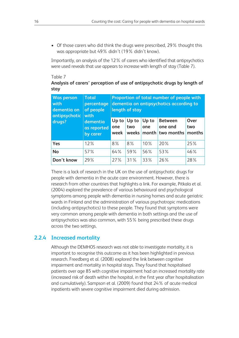• Of those carers who did think the drugs were prescribed, 29% thought this was appropriate but 49% didn't (19% didn't know).

Importantly, an analysis of the 12% of carers who identified that antipsychotics were used reveals that use appears to increase with length of stay (Table 7).

#### Table 7

#### **Analysis of carers' perception of use of antipsychotic drugs by length of stay**

| <b>Was person</b><br>with<br>dementia on<br>antipsychotic | <b>Total</b><br>percentage<br>of people<br>with |                      | length of stay        |              | Proportion of total number of people with<br>dementia on antipsychotics according to |                       |
|-----------------------------------------------------------|-------------------------------------------------|----------------------|-----------------------|--------------|--------------------------------------------------------------------------------------|-----------------------|
| drugs?                                                    | dementia<br>as reported<br>by carer             | Up to<br>one<br>week | Up to<br>two<br>weeks | Up to<br>one | <b>Between</b><br>one and<br>month two months                                        | Over<br>two<br>months |
| Yes                                                       | 12%                                             | 8%                   | $8\%$                 | 10%          | 20%                                                                                  | 25%                   |
| <b>No</b>                                                 | 57%                                             | 64%                  | 59%                   | 56%          | 53%                                                                                  | 46%                   |
| Don't know                                                | 29%                                             | 27%                  | 31%                   | 33%          | 26%                                                                                  | 28%                   |

There is a lack of research in the UK on the use of antipsychotic drugs for people with dementia in the acute care environment. However, there is research from other countries that highlights a link. For example, Pitkala et al. (2004) explored the prevalence of various behavioural and psychological symptoms among people with dementia in nursing homes and acute geriatric wards in Finland and the administration of various psychotropic medications (including antipsychotics) to these people. They found that symptoms were very common among people with dementia in both settings and the use of antipsychotics was also common, with 55% being prescribed these drugs across the two settings.

#### **2.2.4 Increased mortality**

Although the DEMHOS research was not able to investigate mortality, it is important to recognise this outcome as it has been highlighted in previous research. Freedberg et al. (2008) explored the link between cognitive impairment and mortality in hospital stays. They found that hospitalised patients over age 85 with cognitive impairment had an increased mortality rate (increased risk of death within the hospital, in the first year after hospitalisation and cumulatively). Sampson et al. (2009) found that 24% of acute medical inpatients with severe cognitive impairment died during admission.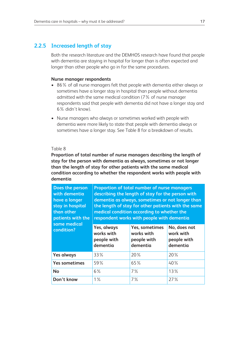#### **2.2.5 Increased length of stay**

Both the research literature and the DEMHOS research have found that people with dementia are staying in hospital for longer than is often expected and longer than other people who go in for the same procedures.

#### **Nurse manager respondents**

- 86% of all nurse managers felt that people with dementia either always or sometimes have a longer stay in hospital than people without dementia admitted with the same medical condition (7% of nurse manager respondents said that people with dementia did not have a longer stay and 6% didn't know).
- Nurse managers who always or sometimes worked with people with dementia were more likely to state that people with dementia always or sometimes have a longer stay. See Table 8 for a breakdown of results.

#### Table 8

**Proportion of total number of nurse managers describing the length of stay for the person with dementia as always, sometimes or not longer than the length of stay for other patients with the same medical condition according to whether the respondent works with people with dementia**

| Does the person<br>with dementia<br>have a longer<br>stay in hospital<br>than other<br>patients with the<br>same medical |                                                      | Proportion of total number of nurse managers<br>describing the length of stay for the person with<br>medical condition according to whether the<br>respondent works with people with dementia | dementia as always, sometimes or not longer than<br>the length of stay for other patients with the same |  |  |  |
|--------------------------------------------------------------------------------------------------------------------------|------------------------------------------------------|-----------------------------------------------------------------------------------------------------------------------------------------------------------------------------------------------|---------------------------------------------------------------------------------------------------------|--|--|--|
| condition?                                                                                                               | Yes, always<br>works with<br>people with<br>dementia | Yes, sometimes<br>works with<br>people with<br>dementia                                                                                                                                       |                                                                                                         |  |  |  |
| <b>Yes always</b>                                                                                                        | 33%                                                  | $20\%$                                                                                                                                                                                        | 20%                                                                                                     |  |  |  |
| <b>Yes sometimes</b>                                                                                                     | 59%                                                  | 65%                                                                                                                                                                                           | 40%                                                                                                     |  |  |  |
| <b>No</b>                                                                                                                | $6\%$                                                | 7%                                                                                                                                                                                            | 13%                                                                                                     |  |  |  |
| Don't know                                                                                                               | $1\%$                                                | 7%                                                                                                                                                                                            | 27%                                                                                                     |  |  |  |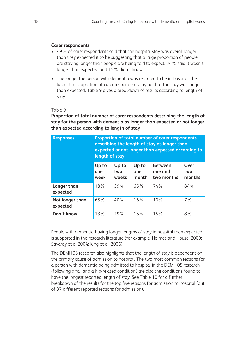#### **Carer respondents**

- 49% of carer respondents said that the hospital stay was overall longer than they expected it to be suggesting that a large proportion of people are staying longer than people are being told to expect. 34% said it wasn't longer than expected and 15% didn't know.
- The longer the person with dementia was reported to be in hospital, the larger the proportion of carer respondents saying that the stay was longer than expected. Table 9 gives a breakdown of results according to length of stay.

#### Table 9

**Proportion of total number of carer respondents describing the length of stay for the person with dementia as longer than expected or not longer than expected according to length of stay**

| <b>Responses</b>            | Proportion of total number of carer respondents<br>describing the length of stay as longer than<br>expected or not longer than expected according to<br>length of stay |                       |                       |                                         |                       |  |
|-----------------------------|------------------------------------------------------------------------------------------------------------------------------------------------------------------------|-----------------------|-----------------------|-----------------------------------------|-----------------------|--|
|                             | Up to<br>one<br>week                                                                                                                                                   | Up to<br>two<br>weeks | Up to<br>one<br>month | <b>Between</b><br>one and<br>two months | Over<br>two<br>months |  |
| Longer than<br>expected     | 18%                                                                                                                                                                    | 39%                   | 65%                   | 74%                                     | 84%                   |  |
| Not longer than<br>expected | 65%                                                                                                                                                                    | 40%                   | 16%                   | 10%                                     | $7\%$                 |  |
| Don't know                  | 13%                                                                                                                                                                    | 19%                   | 16%                   | 15%                                     | 8%                    |  |

People with dementia having longer lengths of stay in hospital than expected is supported in the research literature (for example, Holmes and House, 2000; Savaray et al 2004; King et al. 2006).

The DEMHOS research also highlights that the length of stay is dependent on the primary cause of admission to hospital. The two most common reasons for a person with dementia being admitted to hospital in the DEMHOS research (following a fall and a hip-related condition) are also the conditions found to have the longest reported length of stay. See Table 10 for a further breakdown of the results for the top five reasons for admission to hospital (out of 37 different reported reasons for admission).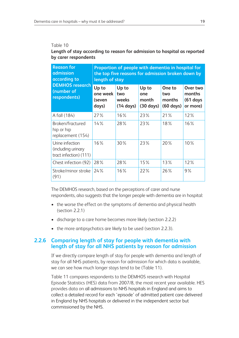#### Table 10

#### **Length of stay according to reason for admission to hospital as reported by carer respondents**

| <b>Reason for</b><br>admission<br>according to                  | Proportion of people with dementia in hospital for<br>the top five reasons for admission broken down by<br>length of stay |                                              |                                              |                                                |                                              |  |
|-----------------------------------------------------------------|---------------------------------------------------------------------------------------------------------------------------|----------------------------------------------|----------------------------------------------|------------------------------------------------|----------------------------------------------|--|
| <b>DEMHOS research</b><br>(number of<br>respondents)            | Up to<br>one week<br>(seven<br>days)                                                                                      | Up to<br>two<br>weeks<br>$(14 \text{ days})$ | Up to<br>one<br>month<br>$(30 \text{ days})$ | One to<br>two<br>months<br>$(60 \text{ days})$ | Over two<br>months<br>$(61$ days<br>or more) |  |
| A fall (184)                                                    | 27%                                                                                                                       | 16%                                          | 23%                                          | 21%                                            | 12%                                          |  |
| Broken/fractured<br>hip or hip<br>replacement (154)             | 14%                                                                                                                       | 28%                                          | 23%                                          | 18%                                            | 16%                                          |  |
| Urine infection<br>(including urinary<br>tract infection) (111) | 16%                                                                                                                       | 30%                                          | 23%                                          | 20%                                            | 10%                                          |  |
| Chest infection (92)                                            | 28%                                                                                                                       | 28%                                          | 15%                                          | 13%                                            | 12%                                          |  |
| Stroke/minor stroke<br>(91)                                     | 24%                                                                                                                       | 16%                                          | 22%                                          | 26%                                            | 9%                                           |  |

The DEMHOS research, based on the perceptions of carer and nurse respondents, also suggests that the longer people with dementia are in hospital:

- the worse the effect on the symptoms of dementia and physical health (section 2.2.1)
- discharge to a care home becomes more likely (section 2.2.2)
- the more antipsychotics are likely to be used (section 2.2.3).

#### **2.2.6 Comparing length of stay for people with dementia with length of stay for all NHS patients by reason for admission**

If we directly compare length of stay for people with dementia and length of stay for all NHS patients, by reason for admission for which data is available, we can see how much longer stays tend to be (Table 11).

Table 11 compares respondents to the DEMHOS research with Hospital Episode Statistics (HES) data from 2007/8, the most recent year available. HES provides data on all admissions to NHS hospitals in England and aims to collect a detailed record for each 'episode' of admitted patient care delivered in England by NHS hospitals or delivered in the independent sector but commissioned by the NHS.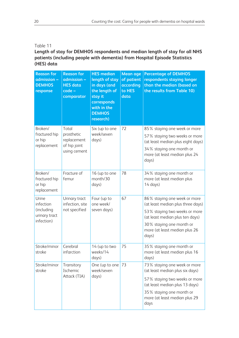#### Table 11

#### **Length of stay for DEMHOS respondents and median length of stay for all NHS patients (including people with dementia) from Hospital Episode Statistics (HES) data**

| <b>Reason for</b><br>admission -<br><b>DEMHOS</b><br>response   | <b>Reason for</b><br>admission -<br><b>HES</b> data<br>code -<br>comparator | <b>HES median</b><br>length of stay<br>in days (and<br>the length of<br>stay it<br>corresponds<br>with in the<br><b>DEMHOS</b><br>research) | <b>Mean age</b><br>of patient<br>according<br>to HES<br>data | <b>Percentage of DEMHOS</b><br>respondents staying longer<br>than the median (based on<br>the results from Table 10)                                                                                        |
|-----------------------------------------------------------------|-----------------------------------------------------------------------------|---------------------------------------------------------------------------------------------------------------------------------------------|--------------------------------------------------------------|-------------------------------------------------------------------------------------------------------------------------------------------------------------------------------------------------------------|
| Broken/<br>fractured hip<br>or hip<br>replacement               | Total<br>prosthetic<br>replacement<br>of hip joint<br>using cement          | Six (up to one<br>week/seven<br>days)                                                                                                       | 72                                                           | 85% staying one week or more<br>57% staying two weeks or more<br>(at least median plus eight days)<br>34% staying one month or<br>more (at least median plus 24<br>days)                                    |
| Broken/<br>fractured hip<br>or hip<br>replacement               | Fracture of<br>femur                                                        | 16 (up to one<br>month/30<br>days)                                                                                                          | 78                                                           | 34% staying one month or<br>more (at least median plus<br>$14 \text{ days}$                                                                                                                                 |
| Urine<br>infection<br>(including<br>urinary tract<br>infection) | Urinary tract<br>infection, site<br>not specified                           | Four (up to<br>one week/<br>seven days)                                                                                                     | 67                                                           | 86% staying one week or more<br>(at least median plus three days)<br>53% staying two weeks or more<br>(at least median plus ten days)<br>30% staying one month or<br>more (at least median plus 26<br>days) |
| Stroke/minor<br>stroke                                          | Cerebral<br>infarction                                                      | 14 (up to two<br>weeks/14<br>days)                                                                                                          | 75                                                           | 35% staying one month or<br>more (at least median plus 16<br>days)                                                                                                                                          |
| Stroke/minor<br>stroke                                          | Transitory<br>Ischemic<br>Attack (TIA)                                      | One (up to one<br>week/seven<br>days)                                                                                                       | 73                                                           | 73% staying one week or more<br>(at least median plus six days)<br>57% staying two weeks or more<br>(at least median plus 13 days)<br>35% staying one month or<br>more (at least median plus 29<br>days     |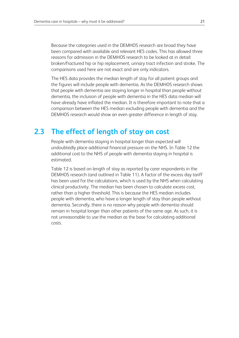Because the categories used in the DEMHOS research are broad they have been compared with available and relevant HES codes. This has allowed three reasons for admission in the DEMHOS research to be looked at in detail: broken/fractured hip or hip replacement, urinary tract infection and stroke. The comparisons used here are not exact and are only indicators.

The HES data provides the median length of stay for all patient groups and the figures will include people with dementia. As the DEMHOS research shows that people with dementia are staying longer in hospital than people without dementia, the inclusion of people with dementia in the HES data median will have already have inflated the median. It is therefore important to note that a comparison between the HES median excluding people with dementia and the DEMHOS research would show an even greater difference in length of stay.

### **2.3 The effect of length of stay on cost**

People with dementia staying in hospital longer than expected will undoubtedly place additional financial pressure on the NHS. In Table 12 the additional cost to the NHS of people with dementia staying in hospital is estimated.

Table 12 is based on length of stay as reported by carer respondents in the DEMHOS research (and outlined in Table 11). A factor of the excess day tariff has been used for the calculations, which is used by the NHS when calculating clinical productivity. The median has been chosen to calculate excess cost, rather than a higher threshold. This is because the HES median includes people with dementia, who have a longer length of stay than people without dementia. Secondly, there is no reason why people with dementia should remain in hospital longer than other patients of the same age. As such, it is not unreasonable to use the median as the base for calculating additional costs.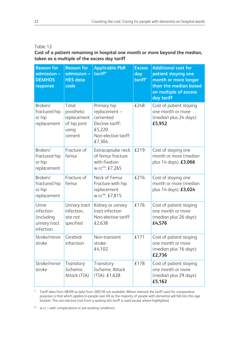#### Table 12

**Cost of a patient remaining in hospital one month or more beyond the median, taken as a multiple of the excess day tariff**

| <b>Reason for</b><br>admission -<br><b>DEMHOS</b><br>response  | <b>Reason for</b><br>admission -<br><b>HES</b> data<br>code           | <b>Applicable PbR</b><br>tariff*                                                                         | <b>Excess</b><br>day<br>tariff* | <b>Additional cost for</b><br>patient staying one<br>month or more longer<br>than the median based<br>on multiple of excess<br>day tariff |
|----------------------------------------------------------------|-----------------------------------------------------------------------|----------------------------------------------------------------------------------------------------------|---------------------------------|-------------------------------------------------------------------------------------------------------------------------------------------|
| Broken/<br>fractured hip<br>or hip<br>replacement              | Total<br>prosthetic<br>replacement<br>of hip joint<br>using<br>cement | Primary hip<br>replacement -<br>cemented<br>Elective tariff:<br>£5,220<br>Non-elective tariff:<br>£7,304 | £248                            | Cost of patient staying<br>one month or more<br>(median plus 24 days):<br>£5,952                                                          |
| Broken/<br>fractured hip<br>or hip<br>replacement              | Fracture of<br>femur                                                  | Extracapsular neck<br>of femur fracture<br>with fixation<br>w cc**: £7,265                               | £219                            | Cost of staying one<br>month or more (median<br>plus 14 days): £3,066                                                                     |
| Broken/<br>fractured hip<br>or hip<br>replacement              | Fracture of<br>femur                                                  | Neck of Femur<br>Fracture with hip<br>replacement<br>w cc**: £7,815                                      | £216                            | Cost of staying one<br>month or more (median<br>plus 14 days): £3,024                                                                     |
| Urine<br>infection<br>(including<br>urinary tract<br>infection | Urinary tract<br>infection,<br>site not<br>specified                  | Kidney or urinary<br>tract infection<br>Non-elective tariff:<br>£2,638                                   | £176                            | Cost of patient staying<br>one month or more<br>(median plus 26 days):<br>£4,576                                                          |
| Stroke/minor<br>stroke                                         | Cerebral<br>infarction                                                | Non-transient<br>stroke:<br>£4,102                                                                       | £171                            | Cost of patient staying<br>one month or more<br>(median plus 16 days):<br>£2,736                                                          |
| Stroke/minor<br>stroke                                         | Transitory<br>Ischemic<br>Attack (TIA)                                | Transitory<br>Ischemic Attack<br>(TIA): £1,628                                                           | £178                            | Cost of patient staying<br>one month or more<br>(median plus 29 days):<br>£5,162                                                          |

\* Tariff data from 08/09 as data from 2007/8 not available. Where relevant the tariff used for comparative purposes is that which applies to people over 69 as the majority of people with dementia will fall into this age bracket. The non-elective (not from a waiting list) tariff is used except where highlighted.

\*\* w cc = with complications or pre-existing conditions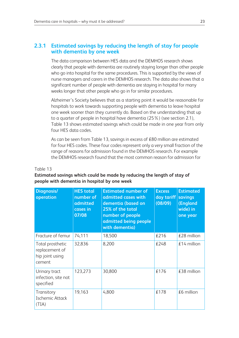#### **2.3.1 Estimated savings by reducing the length of stay for people with dementia by one week**

The data comparison between HES data and the DEMHOS research shows clearly that people with dementia are routinely staying longer than other people who go into hospital for the same procedures. This is supported by the views of nurse managers and carers in the DEMHOS research. The data also shows that a significant number of people with dementia are staying in hospital for many weeks longer that other people who go in for similar procedures.

Alzheimer's Society believes that as a starting point it would be reasonable for hospitals to work towards supporting people with dementia to leave hospital one week sooner than they currently do. Based on the understanding that up to a quarter of people in hospital have dementia (25%) (see section 2.1), Table 13 shows estimated savings which could be made in one year from only four HES data codes.

As can be seen from Table 13, savings in excess of £80 million are estimated for four HES codes. These four codes represent only a very small fraction of the range of reasons for admission found in the DEMHOS research. For example the DEMHOS research found that the most common reason for admission for

| <b>Diagnosis/</b><br>operation                                  | <b>HES</b> total<br>number of<br>admitted<br>cases in<br>07/08 | <b>Estimated number of</b><br>admitted cases with<br>dementia (based on<br>25% of the total<br>number of people<br>admitted being people | <b>Excess</b><br>day tariff<br>(08/09) | <b>Estimated</b><br>savings<br>(England<br>wide) in<br>one year |
|-----------------------------------------------------------------|----------------------------------------------------------------|------------------------------------------------------------------------------------------------------------------------------------------|----------------------------------------|-----------------------------------------------------------------|
| Fracture of femur                                               | 74,111                                                         | with dementia)<br>18,500                                                                                                                 | £216                                   | £28 million                                                     |
| Total prosthetic<br>replacement of<br>hip joint using<br>cement | 32,836                                                         | 8,200                                                                                                                                    | £248                                   | $£14$ million                                                   |
| Urinary tract<br>infection, site not<br>specified               | 123,273                                                        | 30,800                                                                                                                                   | £176                                   | £38 million                                                     |
| Transitory<br>Ischemic Attack<br>(TIA)                          | 19,163                                                         | 4,800                                                                                                                                    | £178                                   | $£6$ million                                                    |

#### Table 13

#### **Estimated savings which could be made by reducing the length of stay of people with dementia in hospital by one week**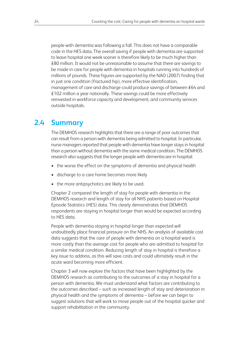people with dementia was following a fall. This does not have a comparable code in the HES data. The overall saving if people with dementia are supported to leave hospital one week sooner is therefore likely to be much higher than £80 million. It would not be unreasonable to assume that there are savings to be made in care for people with dementia in hospitals running into hundreds of millions of pounds. These figures are supported by the NAO (2007) finding that in just one condition (fractured hip), more effective identification, management of care and discharge could produce savings of between £64 and £102 million a year nationally. These savings could be more effectively reinvested in workforce capacity and development, and community services outside hospitals.

# **2.4 Summary**

The DEMHOS research highlights that there are a range of poor outcomes that can result from a person with dementia being admitted to hospital. In particular, nurse managers reported that people with dementia have longer stays in hospital than a person without dementia with the same medical condition. The DEMHOS research also suggests that the longer people with dementia are in hospital:

- the worse the effect on the symptoms of dementia and physical health
- discharge to a care home becomes more likely
- the more antipsychotics are likely to be used.

Chapter 2 compared the length of stay for people with dementia in the DEMHOS research and length of stay for all NHS patients based on Hospital Episode Statistics (HES) data. This clearly demonstrates that DEMHOS respondents are staying in hospital longer than would be expected according to HES data.

People with dementia staying in hospital longer than expected will undoubtedly place financial pressure on the NHS. An analysis of available cost data suggests that the care of people with dementia on a hospital ward is more costly than the average cost for people who are admitted to hospital for a similar medical condition. Reducing length of stay in hospital is therefore a key issue to address, as this will save costs and could ultimately result in the acute ward becoming more efficient.

Chapter 3 will now explore the factors that have been highlighted by the DEMHOS research as contributing to the outcomes of a stay in hospital for a person with dementia. We must understand what factors are contributing to the outcomes described – such as increased length of stay and deterioration in physical health and the symptoms of dementia – before we can begin to suggest solutions that will work to move people out of the hospital quicker and support rehabilitation in the community.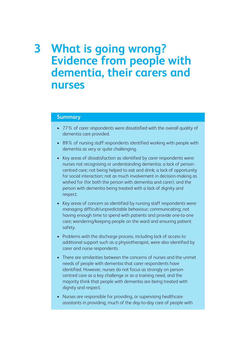# **3 What is going wrong? Evidence from people with dementia, their carers and nurses**

#### **Summary**

- 77% of carer respondents were dissatisfied with the overall quality of dementia care provided.
- 89% of nursing staff respondents identified working with people with dementia as very or quite challenging.
- Key areas of dissatisfaction as identified by carer respondents were: nurses not recognising or understanding dementia; a lack of personcentred care; not being helped to eat and drink; a lack of opportunity for social interaction; not as much involvement in decision-making as wished for (for both the person with dementia and carer); and the person with dementia being treated with a lack of dignity and respect.
- Key areas of concern as identified by nursing staff respondents were: managing difficult/unpredictable behaviour; communicating; not having enough time to spend with patients and provide one-to-one care; wandering/keeping people on the ward and ensuring patient safety.
- Problems with the discharge process, including lack of access to additional support such as a physiotherapist, were also identified by carer and nurse respondents.
- There are similarities between the concerns of nurses and the unmet needs of people with dementia that carer respondents have identified. However, nurses do not focus as strongly on personcentred care as a key challenge or as a training need, and the majority think that people with dementia are being treated with dignity and respect.
- Nurses are responsible for providing, or supervising healthcare assistants in providing, much of the day-to-day care of people with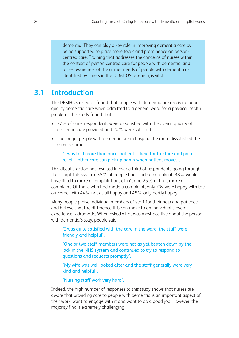dementia. They can play a key role in improving dementia care by being supported to place more focus and prominence on personcentred care. Training that addresses the concerns of nurses within the context of person-centred care for people with dementia, and raises awareness of the unmet needs of people with dementia as identified by carers in the DEMHOS research, is vital.

### **3.1 Introduction**

The DEMHOS research found that people with dementia are receiving poor quality dementia care when admitted to a general ward for a physical health problem. This study found that:

- 77% of carer respondents were dissatisfied with the overall quality of dementia care provided and 20% were satisfied.
- The longer people with dementia are in hospital the more dissatisfied the carer became.

#### 'I was told more than once, patient is here for fracture and pain relief – other care can pick up again when patient moves'.

This dissatisfaction has resulted in over a third of respondents going through the complaints system. 35% of people had made a complaint; 38% would have liked to make a complaint but didn't and 25% did not make a complaint. Of those who had made a complaint, only 7% were happy with the outcome, with 44% not at all happy and 45% only partly happy.

Many people praise individual members of staff for their help and patience and believe that the difference this can make to an individual's overall experience is dramatic. When asked what was most positive about the person with dementia's stay, people said:

'I was quite satisfied with the care in the ward; the staff were friendly and helpful'.

'One or two staff members were not as yet beaten down by the lack in the NHS system and continued to try to respond to questions and requests promptly'.

'My wife was well looked after and the staff generally were very kind and helpful'.

'Nursing staff work very hard'.

Indeed, the high number of responses to this study shows that nurses are aware that providing care to people with dementia is an important aspect of their work, want to engage with it and want to do a good job. However, the majority find it extremely challenging.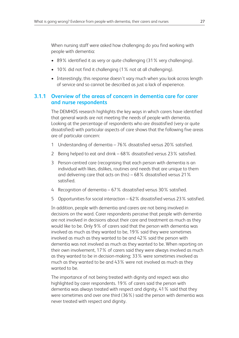When nursing staff were asked how challenging do you find working with people with dementia:

- 89% identified it as very or quite challenging (31% very challenging).
- 10% did not find it challenging (1% not at all challenging).
- Interestingly, this response doesn't vary much when you look across length of service and so cannot be described as just a lack of experience.

#### **3.1.1 Overview of the areas of concern in dementia care for carer and nurse respondents**

The DEMHOS research highlights the key ways in which carers have identified that general wards are not meeting the needs of people with dementia. Looking at the percentage of respondents who are dissatisfied (very or quite dissatisfied) with particular aspects of care shows that the following five areas are of particular concern:

- 1 Understanding of dementia 76% dissatisfied versus 20% satisfied.
- 2 Being helped to eat and drink 68% dissatisfied versus 23% satisfied.
- 3 Person-centred care (recognising that each person with dementia is an individual with likes, dislikes, routines and needs that are unique to them and delivering care that acts on this) – 68% dissatisfied versus 21% satisfied.
- 4 Recognition of dementia 67% dissatisfied versus 30% satisfied.
- 5 Opportunities for social interaction 62% dissatisfied versus 23% satisfied.

In addition, people with dementia and carers are not being involved in decisions on the ward. Carer respondents perceive that people with dementia are not involved in decisions about their care and treatment as much as they would like to be. Only 9% of carers said that the person with dementia was involved as much as they wanted to be, 19% said they were sometimes involved as much as they wanted to be and 42% said the person with dementia was not involved as much as they wanted to be. When reporting on their own involvement, 17% of carers said they were always involved as much as they wanted to be in decision-making; 33% were sometimes involved as much as they wanted to be and 43% were not involved as much as they wanted to be.

The importance of not being treated with dignity and respect was also highlighted by carer respondents. 19% of carers said the person with dementia was always treated with respect and dignity, 41% said that they were sometimes and over one third (36%) said the person with dementia was never treated with respect and dignity.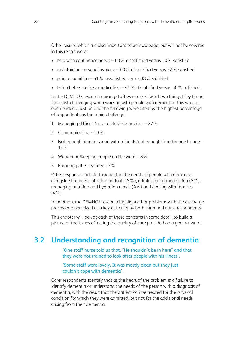Other results, which are also important to acknowledge, but will not be covered in this report were:

- help with continence needs 60% dissatisfied versus 30% satisfied
- maintaining personal hygiene 60% dissatisfied versus 32% satisfied
- pain recognition 51% dissatisfied versus 38% satisfied
- being helped to take medication 44% dissatisfied versus 46% satisfied.

In the DEMHOS research nursing staff were asked what two things they found the most challenging when working with people with dementia. This was an open-ended question and the following were cited by the highest percentage of respondents as the main challenge:

- 1 Managing difficult/unpredictable behaviour 27%
- 2 Communicating 23%
- 3 Not enough time to spend with patients/not enough time for one-to-one 11%
- 4 Wandering/keeping people on the ward 8%
- 5 Ensuring patient safety 7%

Other responses included: managing the needs of people with dementia alongside the needs of other patients (5%), administering medication (5%), managing nutrition and hydration needs (4%) and dealing with families  $(4\%).$ 

In addition, the DEMHOS research highlights that problems with the discharge process are perceived as a key difficulty by both carer and nurse respondents.

This chapter will look at each of these concerns in some detail, to build a picture of the issues affecting the quality of care provided on a general ward.

## **3.2 Understanding and recognition of dementia**

'One staff nurse told us that, "He shouldn't be in here" and that they were not trained to look after people with his illness'.

'Some staff were lovely. It was mostly clean but they just couldn't cope with dementia'.

Carer respondents identify that at the heart of the problem is a failure to identify dementia or understand the needs of the person with a diagnosis of dementia, with the result that the patient can be treated for the physical condition for which they were admitted, but not for the additional needs arising from their dementia.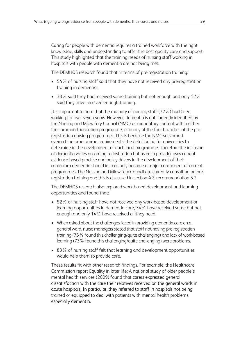Caring for people with dementia requires a trained workforce with the right knowledge, skills and understanding to offer the best quality care and support. This study highlighted that the training needs of nursing staff working in hospitals with people with dementia are not being met.

The DEMHOS research found that in terms of pre-registration training:

- 54% of nursing staff said that they have not received any pre-registration training in dementia;
- 33% said they had received some training but not enough and only 12% said they have received enough training.

It is important to note that the majority of nursing staff (72%) had been working for over seven years. However, dementia is not currently identified by the Nursing and Midwifery Council (NMC) as mandatory content within either the common foundation programme, or in any of the four branches of the preregistration nursing programmes. This is because the NMC sets broad overarching programme requirements, the detail being for universities to determine in the development of each local programme. Therefore the inclusion of dementia varies according to institution but as each provider uses current evidence-based practice and policy drivers in the development of their curriculum dementia should increasingly become a major component of current programmes. The Nursing and Midwifery Council are currently consulting on preregistration training and this is discussed in section 4.2, recommendation 5.2.

The DEMHOS research also explored work-based development and learning opportunities and found that:

- 52% of nursing staff have not received any work-based development or learning opportunities in dementia care, 34% have received some but not enough and only 14% have received all they need.
- When asked about the challenges faced in providing dementia care on a general ward, nurse managers stated that staff not having pre-registration training (76% found this challenging/quite challenging) and lack of work-based learning (73% found this challenging/quite challenging) were problems.
- 83% of nursing staff felt that learning and development opportunities would help them to provide care.

These results fit with other research findings. For example, the Healthcare Commission report Equality in later life: A national study of older people's mental health services (2009) found that carers expressed general dissatisfaction with the care their relatives received on the general wards in acute hospitals. In particular, they referred to staff in hospitals not being trained or equipped to deal with patients with mental health problems, especially dementia.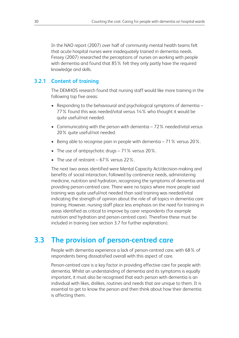In the NAO report (2007) over half of community mental health teams felt that acute hospital nurses were inadequately trained in dementia needs. Fessey (2007) researched the perceptions of nurses on working with people with dementia and found that 85% felt they only partly have the required knowledge and skills.

#### **3.2.1 Content of training**

The DEMHOS research found that nursing staff would like more training in the following top five areas:

- Responding to the behavioural and psychological symptoms of dementia 77% found this was needed/vital versus 14% who thought it would be quite useful/not needed.
- Communicating with the person with dementia 72% needed/vital versus 20% quite useful/not needed.
- Being able to recognise pain in people with dementia 71% versus 20%.
- The use of antipsychotic drugs 71% versus 20%.
- The use of restraint  $-67\%$  versus 22%.

The next two areas identified were Mental Capacity Act/decision-making and benefits of social interaction, followed by continence needs, administering medicine, nutrition and hydration, recognising the symptoms of dementia and providing person-centred care. There were no topics where more people said training was quite useful/not needed than said training was needed/vital indicating the strength of opinion about the role of all topics in dementia care training. However, nursing staff place less emphasis on the need for training in areas identified as critical to improve by carer respondents (for example nutrition and hydration and person-centred care). Therefore these must be included in training (see section 3.7 for further explanation).

# **3.3 The provision of person-centred care**

People with dementia experience a lack of person-centred care, with 68% of respondents being disssatisfied overall with this aspect of care.

Person-centred care is a key factor in providing effective care for people with dementia. Whilst an understanding of dementia and its symptoms is equally important, it must also be recognised that each person with dementia is an individual with likes, dislikes, routines and needs that are unique to them. It is essential to get to know the person and then think about how their dementia is affecting them.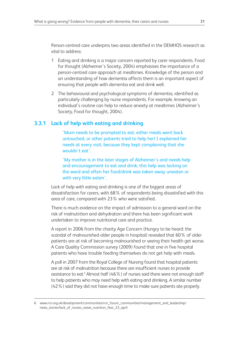Person-centred care underpins two areas identified in the DEMHOS research as vital to address:

- 1 Eating and drinking is a major concern reported by carer respondents. Food for thought (Alzheimer's Society, 2004) emphasises the importance of a person-centred care approach at mealtimes. Knowledge of the person and an understanding of how dementia affects them is an important aspect of ensuring that people with dementia eat and drink well.
- 2 The behavioural and psychological symptoms of dementia, identified as particularly challenging by nurse respondents. For example, knowing an individual's routine can help to reduce anxiety at mealtimes (Alzheimer's Society, Food for thought, 2004).

#### **3.3.1 Lack of help with eating and drinking**

'Mum needs to be prompted to eat, either meals went back untouched, or other patients tried to help her! I explained her needs at every visit, because they kept complaining that she wouldn't eat'.

'My mother is in the later stages of Alzheimer's and needs help and encouragement to eat and drink, this help was lacking on the ward and often her food/drink was taken away uneaten or with very little eaten'.

Lack of help with eating and drinking is one of the biggest areas of dissatisfaction for carers, with 68% of respondents being dissatisfied with this area of care, compared with 23% who were satisfied.

There is much evidence on the impact of admission to a general ward on the risk of malnutrition and dehydration and there has been significant work undertaken to improve nutritional care and practice.

A report in 2006 from the charity Age Concern (Hungry to be heard: the scandal of malnourished older people in hospital) revealed that 60% of older patients are at risk of becoming malnourished or seeing their health get worse. A Care Quality Commission survey (2009) found that one in five hospital patients who have trouble feeding themselves do not get help with meals.

A poll in 2007 from the Royal College of Nursing found that hospital patients are at risk of malnutrition because there are insufficient nurses to provide assistance to eat. <sup>6</sup> Almost half (46%) of nurses said there were not enough staff to help patients who may need help with eating and drinking. A similar number (42%) said they did not have enough time to make sure patients ate properly.

<sup>6</sup> www.rcn.org.uk/development/communities/rcn\_forum\_communities/management\_and\_leadership/ news\_stories/lack\_of\_nurses\_raises\_nutrition\_fear\_23\_april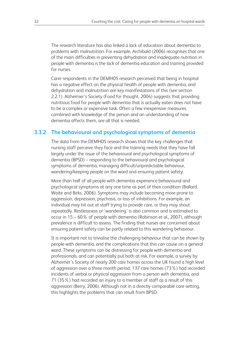The research literature has also linked a lack of education about dementia to problems with malnutrition. For example, Archibald (2006) recognises that one of the main difficulties in preventing dehydration and inadequate nutrition in people with dementia is the lack of dementia education and training provided for nurses.

Carer respondents in the DEMHOS research perceived that being in hospital has a negative effect on the physical health of people with dementia, and dehydration and malnutrition are key manifestations of this (see section 2.2.1). Alzheimer's Society (Food for thought, 2004) suggests that providing nutritious food for people with dementia that is actually eaten does not have to be a complex or expensive task. Often a few inexpensive measures, combined with knowledge of the person and an understanding of how dementia affects them, are all that is needed.

#### **3.3.2 The behavioural and psychological symptoms of dementia**

The data from the DEMHOS research shows that the key challenges that nursing staff perceive they face and the training needs that they have fall largely under the issue of the behavioural and psychological symptoms of dementia (BPSD) – responding to the behavioural and psychological symptoms of dementia, managing difficult/unpredictable behaviour, wandering/keeping people on the ward and ensuring patient safety.

More than half of all people with dementia experience behavioural and psychological symptoms at any one time as part of their condition (Ballard, Waite and Birks, 2006). Symptoms may include becoming more prone to aggression, depression, psychosis, or loss of inhibitions. For example, an individual may hit out at staff trying to provide care, or they may shout repeatedly. Restlessness or 'wandering' is also common and is estimated to occur in 15 – 60% of people with dementia (Robinson et al., 2007), although prevalence is difficult to assess. The finding that nurses are concerned about ensuring patient safety can be partly related to this wandering behaviour.

It is important not to trivialise the challenging behaviour that can be shown by people with dementia, and the complications that this can cause on a general ward. These symptoms can be distressing for people with dementia and professionals, and can potentially put both at risk. For example, a survey by Alzheimer's Society of nearly 200 care homes across the UK found a high level of aggression over a three month period. 137 care homes (73%) had recorded incidents of verbal or physical aggression from a person with dementia, and 71 (35%) had recorded an injury to a member of staff as a result of this aggression (Berry, 2006). Although not in a directly comparable care setting, this highlights the problems that can result from BPSD.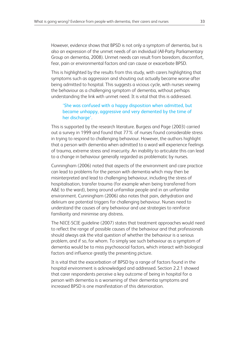However, evidence shows that BPSD is not only a symptom of dementia, but is also an expression of the unmet needs of an individual (All-Party Parliamentary Group on dementia, 2008). Unmet needs can result from boredom, discomfort, fear, pain or environmental factors and can cause or exacerbate BPSD.

This is highlighted by the results from this study, with carers highlighting that symptoms such as aggression and shouting out actually became worse after being admitted to hospital. This suggests a vicious cycle, with nurses viewing the behaviour as a challenging symptom of dementia, without perhaps understanding the link with unmet need. It is vital that this is addressed.

#### 'She was confused with a happy disposition when admitted, but became unhappy, aggressive and very demented by the time of her discharge'.

This is supported by the research literature. Burgess and Page (2003) carried out a survey in 1999 and found that 77% of nurses found considerable stress in trying to respond to challenging behaviour. However, the authors highlight that a person with dementia when admitted to a ward will experience feelings of trauma, extreme stress and insecurity. An inability to articulate this can lead to a change in behaviour generally regarded as problematic by nurses.

Cunningham (2006) noted that aspects of the environment and care practice can lead to problems for the person with dementia which may then be misinterpreted and lead to challenging behaviour, including the stress of hospitalisation, transfer trauma (for example when being transferred from A&E to the ward), being around unfamiliar people and in an unfamiliar environment. Cunningham (2006) also notes that pain, dehydration and delirium are potential triggers for challenging behaviour. Nurses need to understand the causes of any behaviour and use strategies to reinforce familiarity and minimise any distress.

The NICE-SCIE guideline (2007) states that treatment approaches would need to reflect the range of possible causes of the behaviour and that professionals should always ask the vital question of whether the behaviour is a serious problem, and if so, for whom. To simply see such behaviour as a symptom of dementia would be to miss psychosocial factors, which interact with biological factors and influence greatly the presenting picture.

It is vital that the exacerbation of BPSD by a range of factors found in the hospital environment is acknowledged and addressed. Section 2.2.1 showed that carer respondents perceive a key outcome of being in hospital for a person with dementia is a worsening of their dementia symptoms and increased BPSD is one manifestation of this deterioration.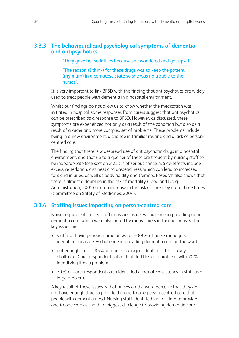#### **3.3.3 The behavioural and psychological symptoms of dementia and antipsychotics**

'They gave her sedatives because she wandered and got upset'.

'The reason (I think) for these drugs was to keep the patient (my mum) in a comatose state so she was no trouble to the nurses'.

It is very important to link BPSD with the finding that antipsychotics are widely used to treat people with dementia in a hospital environment.

Whilst our findings do not allow us to know whether the medication was initiated in hospital, some responses from carers suggest that antipsychotics can be prescribed as a response to BPSD. However, as discussed, these symptoms are experienced not only as a result of the condition but also as a result of a wider and more complex set of problems. These problems include being in a new environment, a change in familiar routine and a lack of personcentred care.

The finding that there is widespread use of antipsychotic drugs in a hospital environment, and that up to a quarter of these are thought by nursing staff to be inappropriate (see section 2.2.3) is of serious concern. Side-effects include excessive sedation, dizziness and unsteadiness, which can lead to increased falls and injuries, as well as body rigidity and tremors. Research also shows that there is almost a doubling in the risk of mortality (Food and Drug Administration, 2005) and an increase in the risk of stroke by up to three times (Committee on Safety of Medicines, 2004).

#### **3.3.4 Staffing issues impacting on person-centred care**

Nurse respondents raised staffing issues as a key challenge in providing good dementia care, which were also noted by many carers in their responses. The key issues are:

- staff not having enough time on wards 89% of nurse managers identified this is a key challenge in providing dementia care on the ward
- not enough staff 86% of nurse managers identified this is a key challenge. Carer respondents also identified this as a problem, with 70% identifying it as a problem
- 70% of carer respondents also identified a lack of consistency in staff as a large problem.

A key result of these issues is that nurses on the ward perceive that they do not have enough time to provide the one-to-one person-centred care that people with dementia need. Nursing staff identified lack of time to provide one-to-one care as the third biggest challenge to providing dementia care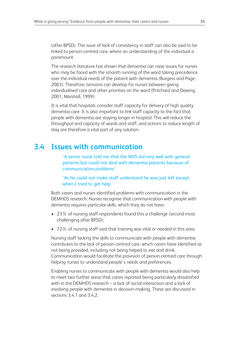(after BPSD). The issue of lack of consistency in staff can also be said to be linked to person-centred care, where an understanding of the individual is paramount.

The research literature has shown that dementia can raise issues for nurses who may be faced with the smooth running of the ward taking precedence over the individual needs of the patient with dementia (Burgess and Page, 2003). Therefore, tensions can develop for nurses between giving individualised care and other priorities on the ward (Pritchard and Dewing, 2001; Marshall, 1999).

It is vital that hospitals consider staff capacity for delivery of high quality dementia care. It is also important to link staff capacity to the fact that people with dementia are staying longer in hospital. This will reduce the throughput and capacity of wards and staff, and actions to reduce length of stay are therefore a vital part of any solution.

### **3.4 Issues with communication**

'A senior nurse told me that the NHS did very well with general patients but could not deal with dementia patients because of communication problems'.

'As he could not make staff understand he was just left except when I tried to get help.'

Both carers and nurses identified problems with communication in the DEMHOS research. Nurses recognise that communication with people with dementia requires particular skills, which they do not have:

- 23% of nursing staff respondents found this a challenge (second most challenging after BPSD).
- 72% of nursing staff said that training was vital or needed in this area.

Nursing staff lacking the skills to communicate with people with dementia contributes to the lack of person-centred care, which carers have identified as not being provided, including not being helped to eat and drink. Communication would facilitate the provision of person-centred care through helping nurses to understand people's needs and preferences.

Enabling nurses to communicate with people with dementia would also help to meet two further areas that carers reported being particularly dissatisfied with in the DEMHOS research – a lack of social interaction and a lack of involving people with dementia in decision-making. These are discussed in sections 3.4.1 and 3.4.2.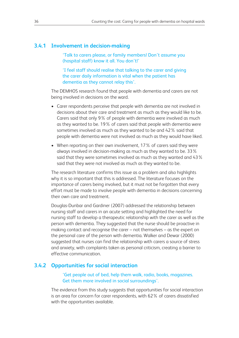#### **3.4.1 Involvement in decision-making**

'Talk to carers please, or family members! Don't assume you (hospital staff) know it all. You don't!'

'I feel staff should realise that talking to the carer and giving the carer daily information is vital when the patient has dementia as they cannot relay this'.

The DEMHOS research found that people with dementia and carers are not being involved in decisions on the ward.

- Carer respondents perceive that people with dementia are not involved in decisions about their care and treatment as much as they would like to be. Carers said that only 9% of people with dementia were involved as much as they wanted to be. 19% of carers said that people with dementia were sometimes involved as much as they wanted to be and 42% said that people with dementia were not involved as much as they would have liked.
- When reporting on their own involvement, 17% of carers said they were always involved in decision-making as much as they wanted to be. 33% said that they were sometimes involved as much as they wanted and 43% said that they were not involved as much as they wanted to be.

The research literature confirms this issue as a problem and also highlights why it is so important that this is addressed. The literature focuses on the importance of carers being involved, but it must not be forgotten that every effort must be made to involve people with dementia in decisions concerning their own care and treatment.

Douglas-Dunbar and Gardiner (2007) addressed the relationship between nursing staff and carers in an acute setting and highlighted the need for nursing staff to develop a therapeutic relationship with the carer as well as the person with dementia. They suggested that the nurse should be proactive in making contact and recognise the carer – not themselves – as the expert on the personal care of the person with dementia. Walker and Dewar (2000) suggested that nurses can find the relationship with carers a source of stress and anxiety, with complaints taken as personal criticism, creating a barrier to effective communication.

#### **3.4.2 Opportunities for social interaction**

'Get people out of bed, help them walk, radio, books, magazines. Get them more involved in social surroundings'.

The evidence from this study suggests that opportunities for social interaction is an area for concern for carer respondents, with 62% of carers dissatisfied with the opportunities available.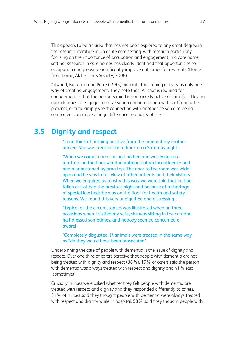This appears to be an area that has not been explored to any great degree in the research literature in an acute care setting, with research particularly focusing on the importance of occupation and engagement in a care home setting. Research in care homes has clearly identified that opportunities for occupation and pleasure significantly improve outcomes for residents (Home from home, Alzheimer's Society, 2008).

Kitwood, Buckland and Petre (1995) highlight that 'doing activity' is only one way of creating engagement. They note that 'All that is required for engagement is that the person's mind is consciously active or mindful'. Having opportunities to engage in conversation and interaction with staff and other patients, or time simply spent connecting with another person and being comforted, can make a huge difference to quality of life.

# **3.5 Dignity and respect**

'I can think of nothing positive from the moment my mother arrived. She was treated like a drunk on a Saturday night'.

'When we came to visit he had no bed and was lying on a mattress on the floor wearing nothing but an incontinence pad and a unbuttoned pyjama top. The door to the room was wide open and he was in full view of other patients and their visitors. When we enquired as to why this was, we were told that he had fallen out of bed the previous night and because of a shortage of special low beds he was on the floor for health and safety reasons. We found this very undignified and distressing'.

'Typical of the circumstances was illustrated when on three occasions when I visited my wife, she was sitting in the corridor, half dressed sometimes, and nobody seemed concerned or aware!'

'Completely disgusted. If animals were treated in the same way as Ida they would have been prosecuted'.

Underpinning the care of people with dementia is the issue of dignity and respect. Over one third of carers perceive that people with dementia are not being treated with dignity and respect (36%). 19% of carers said the person with dementia was always treated with respect and dignity and 41% said 'sometimes'.

Crucially, nurses were asked whether they felt people with dementia are treated with respect and dignity and they responded differently to carers. 31% of nurses said they thought people with dementia were always treated with respect and dignity while in hospital. 58% said they thought people with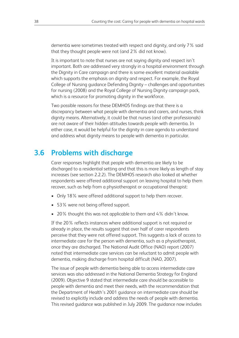dementia were sometimes treated with respect and dignity, and only 7% said that they thought people were not (and 2% did not know).

It is important to note that nurses are not saying dignity and respect isn't important. Both are addressed very strongly in a hospital environment through the Dignity in Care campaign and there is some excellent material available which supports the emphasis on dignity and respect. For example, the Royal College of Nursing guidance Defending Dignity – challenges and opportunities for nursing (2008) and the Royal College of Nursing Dignity campaign pack, which is a resource for promoting dignity in the workforce.

Two possible reasons for these DEMHOS findings are that there is a discrepancy between what people with dementia and carers, and nurses, think dignity means. Alternatively, it could be that nurses (and other professionals) are not aware of their hidden attitudes towards people with dementia. In either case, it would be helpful for the dignity in care agenda to understand and address what dignity means to people with dementia in particular.

## **3.6 Problems with discharge**

Carer responses highlight that people with dementia are likely to be discharged to a residential setting and that this is more likely as length of stay increases (see section 2.2.2). The DEMHOS research also looked at whether respondents were offered additional support on leaving hospital to help them recover, such as help from a physiotherapist or occupational therapist:

- Only 18% were offered additional support to help them recover.
- 53% were not being offered support.
- 20% thought this was not applicable to them and 4% didn't know.

If the 20% reflects instances where additional support is not required or already in place, the results suggest that over half of carer respondents perceive that they were not offered support. This suggests a lack of access to intermediate care for the person with dementia, such as a physiotherapist, once they are discharged. The National Audit Office (NAO) report (2007) noted that intermediate care services can be reluctant to admit people with dementia, making discharge from hospital difficult (NAO, 2007).

The issue of people with dementia being able to access intermediate care services was also addressed in the National Dementia Strategy for England (2009). Objective 9 stated that intermediate care should be accessible to people with dementia and meet their needs, with the recommendation that the Department of Health's 2001 guidance on intermediate care should be revised to explicitly include and address the needs of people with dementia. This revised guidance was published in July 2009. The guidance now includes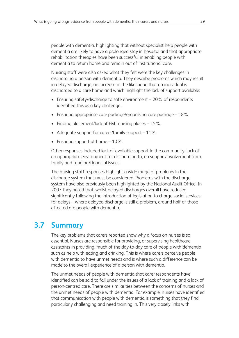people with dementia, highlighting that without specialist help people with dementia are likely to have a prolonged stay in hospital and that appropriate rehabilitation therapies have been successful in enabling people with dementia to return home and remain out of institutional care.

Nursing staff were also asked what they felt were the key challenges in discharging a person with dementia. They describe problems which may result in delayed discharge, an increase in the likelihood that an individual is discharged to a care home and which highlight the lack of support available:

- Ensuring safety/discharge to safe environment 20% of respondents identified this as a key challenge.
- Ensuring appropriate care package/organising care package 18%.
- Finding placement/lack of EMI nursing places 15%.
- Adequate support for carers/family support 11%.
- Ensuring support at home  $-10\%$ .

Other responses included lack of available support in the community, lack of an appropriate environment for discharging to, no support/involvement from family and funding/financial issues.

The nursing staff responses highlight a wide range of problems in the discharge system that must be considered. Problems with the discharge system have also previously been highlighted by the National Audit Office. In 2007 they noted that, whilst delayed discharges overall have reduced significantly following the introduction of legislation to charge social services for delays – where delayed discharge is still a problem, around half of those affected are people with dementia.

# **3.7 Summary**

The key problems that carers reported show why a focus on nurses is so essential. Nurses are responsible for providing, or supervising healthcare assistants in providing, much of the day-to-day care of people with dementia such as help with eating and drinking. This is where carers perceive people with dementia to have unmet needs and is where such a difference can be made to the overall experience of a person with dementia.

The unmet needs of people with dementia that carer respondents have identified can be said to fall under the issues of a lack of training and a lack of person-centred care. There are similarities between the concerns of nurses and the unmet needs of people with dementia. For example, nurses have identified that communication with people with dementia is something that they find particularly challenging and need training in. This very closely links with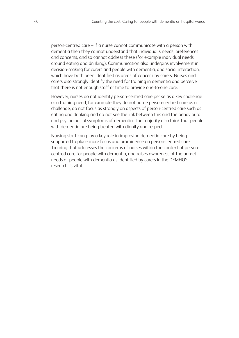person-centred care – if a nurse cannot communicate with a person with dementia then they cannot understand that individual's needs, preferences and concerns, and so cannot address these (for example individual needs around eating and drinking). Communication also underpins involvement in decision-making for carers and people with dementia, and social interaction, which have both been identified as areas of concern by carers. Nurses and carers also strongly identify the need for training in dementia and perceive that there is not enough staff or time to provide one-to-one care.

However, nurses do not identify person-centred care per se as a key challenge or a training need, for example they do not name person-centred care as a challenge, do not focus as strongly on aspects of person-centred care such as eating and drinking and do not see the link between this and the behavioural and psychological symptoms of dementia. The majority also think that people with dementia are being treated with dignity and respect.

Nursing staff can play a key role in improving dementia care by being supported to place more focus and prominence on person-centred care. Training that addresses the concerns of nurses within the context of personcentred care for people with dementia, and raises awareness of the unmet needs of people with dementia as identified by carers in the DEMHOS research, is vital.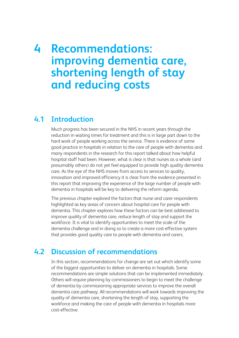# **4 Recommendations: improving dementia care, shortening length of stay and reducing costs**

# **4.1 Introduction**

Much progress has been secured in the NHS in recent years through the reduction in waiting times for treatment and this is in large part down to the hard work of people working across the service. There is evidence of some good practice in hospitals in relation to the care of people with dementia and many respondents in the research for this report talked about how helpful hospital staff had been. However, what is clear is that nurses as a whole (and presumably others) do not yet feel equipped to provide high quality dementia care. As the eye of the NHS moves from access to services to quality, innovation and improved efficiency it is clear from the evidence presented in this report that improving the experience of the large number of people with dementia in hospitals will be key to delivering the reform agenda.

The previous chapter explored the factors that nurse and carer respondents highlighted as key areas of concern about hospital care for people with dementia. This chapter explores how these factors can be best addressed to improve quality of dementia care, reduce length of stay and support the workforce. It is vital to identify opportunities to meet the scale of the dementia challenge and in doing so to create a more cost-effective system that provides good quality care to people with dementia and carers.

# **4.2 Discussion of recommendations**

In this section, recommendations for change are set out which identify some of the biggest opportunities to deliver on dementia in hospitals. Some recommendations are simple solutions that can be implemented immediately. Others will require planning by commissioners to begin to meet the challenge of dementia by commissioning appropriate services to improve the overall dementia care pathway. All recommendations will work towards improving the quality of dementia care, shortening the length of stay, supporting the workforce and making the care of people with dementia in hospitals more cost-effective.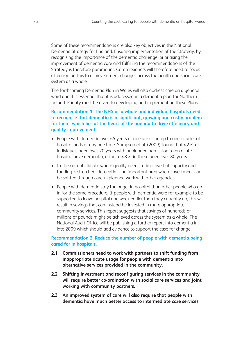Some of these recommendations are also key objectives in the National Dementia Strategy for England. Ensuring implementation of the Strategy, by recognising the importance of the dementia challenge, prioritising the improvement of dementia care and fulfilling the recommendations of the Strategy is therefore paramount. Commissioners will therefore need to focus attention on this to achieve urgent changes across the health and social care system as a whole.

The forthcoming Dementia Plan in Wales will also address care on a general ward and it is essential that it is addressed in a dementia plan for Northern Ireland. Priority must be given to developing and implementing these Plans.

#### **Recommendation 1. The NHS as a whole and individual hospitals need to recognise that dementia is a significant, growing and costly problem for them, which lies at the heart of the agenda to drive efficiency and quality improvement.**

- People with dementia over 65 years of age are using up to one quarter of hospital beds at any one time. Sampson et al. (2009) found that 42% of individuals aged over 70 years with unplanned admission to an acute hospital have dementia, rising to 48% in those aged over 80 years.
- In the current climate where quality needs to improve but capacity and funding is stretched, dementia is an important area where investment can be shifted through careful planned work with other agencies.
- People with dementia stay far longer in hospital than other people who go in for the same procedure. If people with dementia were for example to be supported to leave hospital one week earlier than they currently do, this will result in savings that can instead be invested in more appropriate community services. This report suggests that savings of hundreds of millions of pounds might be achieved across the system as a whole. The National Audit Office will be publishing a further report into dementia in late 2009 which should add evidence to support the case for change.

#### **Recommendation 2. Reduce the number of people with dementia being cared for in hospitals.**

- **2.1 Commissioners need to work with partners to shift funding from inappropriate acute usage for people with dementia into alternative services provided in the community.**
- **2.2 Shifting investment and reconfiguring services in the community will require better co-ordination with social care services and joint working with community partners.**
- **2.3 An improved system of care will also require that people with dementia have much better access to intermediate care services.**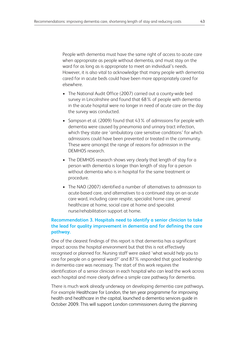People with dementia must have the same right of access to acute care when appropriate as people without dementia, and must stay on the ward for as long as is appropriate to meet an individual's needs. However, it is also vital to acknowledge that many people with dementia cared for in acute beds could have been more appropriately cared for elsewhere.

- The National Audit Office (2007) carried out a county-wide bed survey in Lincolnshire and found that 68% of people with dementia in the acute hospital were no longer in need of acute care on the day the survey was conducted.
- Sampson et al. (2009) found that 43% of admissions for people with dementia were caused by pneumonia and urinary tract infection, which they state are 'ambulatory care sensitive conditions' for which admissions could have been prevented or treated in the community. These were amongst the range of reasons for admission in the DEMHOS research.
- The DEMHOS research shows very clearly that length of stay for a person with dementia is longer than length of stay for a person without dementia who is in hospital for the same treatment or procedure.
- The NAO (2007) identified a number of alternatives to admission to acute-based care, and alternatives to a continued stay on an acute care ward, including carer respite, specialist home care, general healthcare at home, social care at home and specialist nurse/rehabilitation support at home.

#### **Recommendation 3. Hospitals need to identify a senior clinician to take the lead for quality improvement in dementia and for defining the care pathway.**

One of the clearest findings of this report is that dementia has a significant impact across the hospital environment but that this is not effectively recognised or planned for. Nursing staff were asked 'what would help you to care for people on a general ward?' and 87% responded that good leadership in dementia care was necessary. The start of this work requires the identification of a senior clinician in each hospital who can lead the work across each hospital and more clearly define a simple care pathway for dementia.

There is much work already underway on developing dementia care pathways. For example Healthcare for London, the ten year programme for improving health and healthcare in the capital, launched a dementia services guide in October 2009. This will support London commissioners during the planning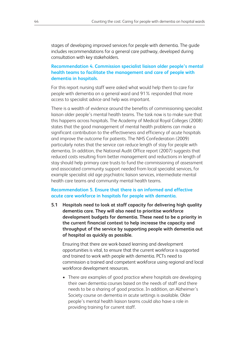stages of developing improved services for people with dementia. The guide includes recommendations for a general care pathway, developed during consultation with key stakeholders.

#### **Recommendation 4. Commission specialist liaison older people's mental health teams to facilitate the management and care of people with dementia in hospitals.**

For this report nursing staff were asked what would help them to care for people with dementia on a general ward and 91% responded that more access to specialist advice and help was important.

There is a wealth of evidence around the benefits of commissioning specialist liaison older people's mental health teams. The task now is to make sure that this happens across hospitals. The Academy of Medical Royal Colleges (2008) states that the good management of mental health problems can make a significant contribution to the effectiveness and efficiency of acute hospitals and improve the outcome for patients. The NHS Confederation (2009) particularly notes that the service can reduce length of stay for people with dementia. In addition, the National Audit Office report (2007) suggests that reduced costs resulting from better management and reductions in length of stay should help primary care trusts to fund the commissioning of assessment and associated community support needed from local specialist services, for example specialist old age psychiatric liaison services, intermediate mental health care teams and community mental health teams.

#### **Recommendation 5. Ensure that there is an informed and effective acute care workforce in hospitals for people with dementia.**

**5.1 Hospitals need to look at staff capacity for delivering high quality dementia care. They will also need to prioritise workforce development budgets for dementia. These need to be a priority in the current financial context to help increase the capacity and throughput of the service by supporting people with dementia out of hospital as quickly as possible.**

Ensuring that there are work-based learning and development opportunities is vital, to ensure that the current workforce is supported and trained to work with people with dementia. PCTs need to commission a trained and competent workforce using regional and local workforce development resources.

• There are examples of good practice where hospitals are developing their own dementia courses based on the needs of staff and there needs to be a sharing of good practice. In addition, an Alzheimer's Society course on dementia in acute settings is available. Older people's mental health liaison teams could also have a role in providing training for current staff.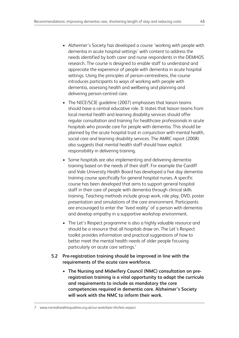- Alzheimer's Society has developed a course 'working with people with dementia in acute hospital settings' with content to address the needs identified by both carer and nurse respondents in the DEMHOS research. The course is designed to enable staff to understand and appreciate the experience of people with dementia in acute hospital settings. Using the principles of person-centredness, the course introduces participants to ways of working with people with dementia, assessing health and wellbeing and planning and delivering person-centred care.
- The NICE/SCIE quideline (2007) emphasises that liaison teams should have a central educative role. It states that liaison teams from local mental health and learning disability services should offer regular consultation and training for healthcare professionals in acute hospitals who provide care for people with dementia. This should be planned by the acute hospital trust in conjunction with mental health, social care and learning disability services. The AMRC report (2008) also suggests that mental health staff should have explicit responsibility in delivering training.
- Some hospitals are also implementing and delivering dementia training based on the needs of their staff. For example the Cardiff and Vale University Health Board has developed a five day dementia training course specifically for general hospital nurses. A specific course has been developed that aims to support general hospital staff in their care of people with dementia through clinical skills training. Teaching methods include group work, role play, DVD, poster presentation and simulations of the care environment. Participants are encouraged to enter the 'lived reality' of a person with dementia and develop empathy in a supportive workshop environment.
- The Let's Respect programme is also a highly valuable resource and should be a resource that all hospitals draw on. The Let's Respect toolkit provides information and practical suggestions of how to better meet the mental health needs of older people focusing particularly on acute care settings.<sup>7</sup>
- **5.2 Pre-registration training should be improved in line with the requirements of the acute care workforce.**
	- **The Nursing and Midwifery Council (NMC) consultation on preregistration training is a vital opportunity to adapt the curricula and requirements to include as mandatory the core competencies required in dementia care. Alzheimer's Society will work with the NMC to inform their work.**

7 www.mentalhealthequalities.org.uk/our-work/later-life/lets-respect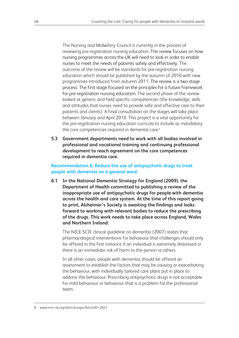The Nursing and Midwifery Council is currently in the process of reviewing pre-registration nursing education. The review focuses on how nursing programmes across the UK will need to look in order to enable nurses to meet the needs of patients safely and effectively. The outcome of the review will be standards for pre-registration nursing education which should be published by the autumn of 2010 with new programmes introduced from autumn 2011. The review is a two-stage process. The first stage focused on the principles for a future framework for pre-registration nursing education. The second phase of the review looked at generic and field specific competencies (the knowledge, skills and attitudes that nurses need to provide safe and effective care to their patients and clients). A final consultation on the stages will take place between January and April 2010. This project is a vital opportunity for the pre-registration nursing education curricula to include as mandatory the core competencies required in dementia care.<sup>8</sup>

**5.3 Government departments need to work with all bodies involved in professional and vocational training and continuing professional development to reach agreement on the core competences required in dementia care.**

**Recommendation 6. Reduce the use of antipsychotic drugs to treat people with dementia on a general ward.**

**6.1 In the National Dementia Strategy for England (2009), the Department of Health committed to publishing a review of the inappropriate use of antipsychotic drugs for people with dementia across the health and care system. At the time of this report going to print, Alzheimer's Society is awaiting the findings and looks forward to working with relevant bodies to reduce the prescribing of the drugs. This work needs to take place across England, Wales and Northern Ireland.**

The NICE-SCIE clinical guideline on dementia (2007) states that pharmacological interventions for behaviour that challenges should only be offered in the first instance if an individual is extremely distressed or there is an immediate risk of harm to the person or others.

In all other cases, people with dementia should be offered an assessment to establish the factors that may be causing or exacerbating the behaviour, with individually tailored care plans put in place to address the behaviour. Prescribing antipsychotic drugs is not acceptable for mild behaviour or behaviour that is a problem for the professional team.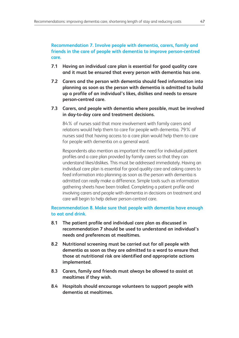#### **Recommendation 7. Involve people with dementia, carers, family and friends in the care of people with dementia to improve person-centred care.**

- **7.1 Having an individual care plan is essential for good quality care and it must be ensured that every person with dementia has one.**
- **7.2 Carers and the person with dementia should feed information into planning as soon as the person with dementia is admitted to build up a profile of an individual's likes, dislikes and needs to ensure person-centred care.**
- **7.3 Carers, and people with dementia where possible, must be involved in day-to-day care and treatment decisions.**

84% of nurses said that more involvement with family carers and relations would help them to care for people with dementia. 79% of nurses said that having access to a care plan would help them to care for people with dementia on a general ward.

Respondents also mention as important the need for individual patient profiles and a care plan provided by family carers so that they can understand likes/dislikes. This must be addressed immediately. Having an individual care plan is essential for good quality care and asking carers to feed information into planning as soon as the person with dementia is admitted can really make a difference. Simple tools such as information gathering sheets have been trialled. Completing a patient profile and involving carers and people with dementia in decisions on treatment and care will begin to help deliver person-centred care.

#### **Recommendation 8. Make sure that people with dementia have enough to eat and drink.**

- **8.1 The patient profile and individual care plan as discussed in recommendation 7 should be used to understand an individual's needs and preferences at mealtimes.**
- **8.2 Nutritional screening must be carried out for all people with dementia as soon as they are admitted to a ward to ensure that those at nutritional risk are identified and appropriate actions implemented.**
- **8.3 Carers, family and friends must always be allowed to assist at mealtimes if they wish.**
- **8.4 Hospitals should encourage volunteers to support people with dementia at mealtimes.**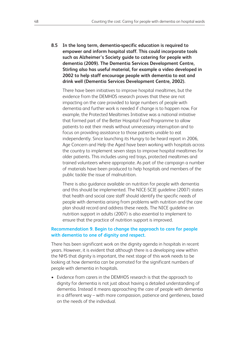**8.5 In the long term, dementia-specific education is required to empower and inform hospital staff. This could incorporate tools such as Alzheimer's Society guide to catering for people with dementia (2009). The Dementia Services Development Centre, Stirling also has useful material, for example a video developed in 2002 to help staff encourage people with dementia to eat and drink well (Dementia Services Development Centre, 2002).**

There have been initiatives to improve hospital mealtimes, but the evidence from the DEMHOS research proves that these are not impacting on the care provided to large numbers of people with dementia and further work is needed if change is to happen now. For example, the Protected Mealtimes Initiative was a national initiative that formed part of the Better Hospital Food Programme to allow patients to eat their meals without unnecessary interruption and to focus on providing assistance to those patients unable to eat independently. Since launching its Hungry to be heard report in 2006, Age Concern and Help the Aged have been working with hospitals across the country to implement seven steps to improve hospital mealtimes for older patients. This includes using red trays, protected mealtimes and trained volunteers where appropriate. As part of the campaign a number of materials have been produced to help hospitals and members of the public tackle the issue of malnutrition.

There is also guidance available on nutrition for people with dementia and this should be implemented. The NICE-SCIE guideline (2007) states that health and social care staff should identify the specific needs of people with dementia arising from problems with nutrition and the care plan should record and address these needs. The NICE guideline on nutrition support in adults (2007) is also essential to implement to ensure that the practice of nutrition support is improved.

#### **Recommendation 9. Begin to change the approach to care for people with dementia to one of dignity and respect.**

There has been significant work on the dignity agenda in hospitals in recent years. However, it is evident that although there is a developing view within the NHS that dignity is important, the next stage of this work needs to be looking at how dementia can be promoted for the significant numbers of people with dementia in hospitals.

• Evidence from carers in the DEMHOS research is that the approach to dignity for dementia is not just about having a detailed understanding of dementia. Instead it means approaching the care of people with dementia in a different way – with more compassion, patience and gentleness, based on the needs of the individual.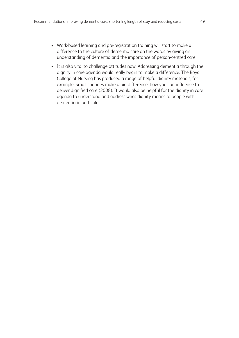- Work-based learning and pre-registration training will start to make a difference to the culture of dementia care on the wards by giving an understanding of dementia and the importance of person-centred care.
- It is also vital to challenge attitudes now. Addressing dementia through the dignity in care agenda would really begin to make a difference. The Royal College of Nursing has produced a range of helpful dignity materials, for example, Small changes make a big difference: how you can influence to deliver dignified care (2008). It would also be helpful for the dignity in care agenda to understand and address what dignity means to people with dementia in particular.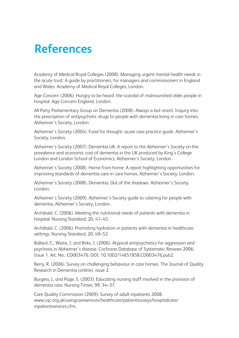# **References**

Academy of Medical Royal Colleges (2008). Managing urgent mental health needs in the acute trust: A guide by practitioners, for managers and commissioners in England and Wales. Academy of Medical Royal Colleges, London.

Age Concern (2006). Hungry to be heard: the scandal of malnourished older people in hospital. Age Concern England, London.

All-Party Parliamentary Group on Dementia (2008). Always a last resort: Inquiry into the prescription of antipsychotic drugs to people with dementia living in care homes. Alzheimer's Society, London.

Alzheimer's Society (2004). Food for thought: acute care practice guide. Alzheimer's Society, London.

Alzheimer's Society (2007). Dementia UK: A report to the Alzheimer's Society on the prevalence and economic cost of dementia in the UK produced by King's College London and London School of Economics. Alzheimer's Society, London.

Alzheimer's Society (2008). Home from home: A report highlighting opportunities for improving standards of dementia care in care homes. Alzheimer's Society, London.

Alzheimer's Society (2008). Dementia: Out of the shadows. Alzheimer's Society, London.

Alzheimer's Society (2009). Alzheimer's Society guide to catering for people with dementia. Alzheimer's Society, London.

Archibald, C. (2006). Meeting the nutritional needs of patients with dementia in hospital. Nursing Standard, 20, 41–45.

Archibald, C. (2006). Promoting hydration in patients with dementia in healthcare settings. Nursing Standard, 20, 49–52.

Ballard, C., Waite, J. and Birks, J. (2006). Atypical antipsychotics for aggression and psychosis in Alzheimer's disease. Cochrane Database of Systematic Reviews 2006, Issue 1. Art. No.: CD003476. DOI: 10.1002/14651858.CD003476.pub2.

Berry, R. (2006). Survey on challenging behaviour in care homes. The Journal of Quality Research in Dementia (online), issue 2.

Burgess, L. and Page, S. (2003). Educating nursing staff involved in the provision of dementia care. Nursing Times, 99, 34–37.

Care Quality Commission (2009). Survey of adult inpatients 2008. www.cqc.org.uk/usingcareservices/healthcare/patientsurveys/hospitalcare/ inpatientservices.cfm.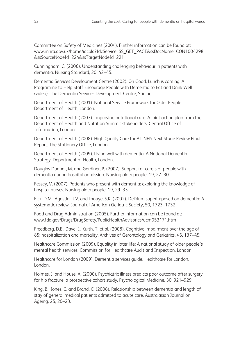Committee on Safety of Medicines (2004). Further information can be found at: www.mhra.gov.uk/home/idcplg?IdcService=SS\_GET\_PAGE&ssDocName=CON1004298 &ssSourceNodeId=224&ssTargetNodeId=221

Cunningham, C. (2006). Understanding challenging behaviour in patients with dementia. Nursing Standard, 20, 42–45.

Dementia Services Development Centre (2002). Oh Good, Lunch is coming: A Programme to Help Staff Encourage People with Dementia to Eat and Drink Well (video). The Dementia Services Development Centre, Stirling.

Department of Health (2001). National Service Framework for Older People. Department of Health, London.

Department of Health (2007). Improving nutritional care: A joint action plan from the Department of Health and Nutrition Summit stakeholders. Central Office of Information, London.

Department of Health (2008). High Quality Care for All: NHS Next Stage Review Final Report. The Stationery Office, London.

Department of Health (2009). Living well with dementia: A National Dementia Strategy. Department of Health, London.

Douglas-Dunbar, M. and Gardiner, P. (2007). Support for carers of people with dementia during hospital admission. Nursing older people, 19, 27–30.

Fessey, V. (2007). Patients who present with dementia: exploring the knowledge of hospital nurses. Nursing older people, 19, 29–33.

Fick, D.M., Agostini, J.V. and Inouye, S.K. (2002). Delirium superimposed on dementia: A systematic review. Journal of American Geriatric Society, 50, 1723–1732.

Food and Drug Administration (2005). Further information can be found at: www.fda.gov/Drugs/DrugSafety/PublicHealthAdvisories/ucm053171.htm

Freedberg, D.E., Dave, J., Kurth, T. et al. (2008). Cognitive impairment over the age of 85: hospitalization and mortality. Archives of Gerontology and Geriatrics, 46, 137–45.

Healthcare Commission (2009). Equality in later life: A national study of older people's mental health services. Commission for Healthcare Audit and Inspection, London.

Healthcare for London (2009). Dementia services guide. Healthcare for London, London.

Holmes, J. and House, A. (2000). Psychiatric illness predicts poor outcome after surgery for hip fracture: a prospective cohort study. Psychological Medicine, 30, 921–929.

King, B., Jones, C. and Brand, C. (2006). Relationship between dementia and length of stay of general medical patients admitted to acute care. Australasian Journal on Ageing, 25, 20–23.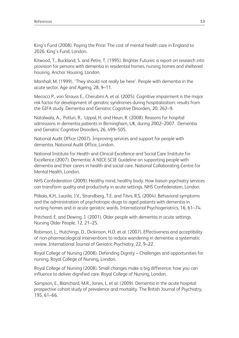King's Fund (2008). Paying the Price: The cost of mental health care in England to 2026. King's Fund, London.

Kitwood, T., Buckland, S. and Petre, T. (1995). Brighter Futures: a report on research into provision for persons with dementia in residential homes, nursing homes and sheltered housing. Anchor Housing, London.

Marshall, M. (1999). 'They should not really be here'. People with dementia in the acute sector. Age and Ageing, 28, 9–11.

Mecocci P., von Strauss E., Cherubini A. et al. (2005). Cognitive impairment is the major risk factor for development of geriatric syndromes during hospitalization: results from the GIFA study. Dementia and Geriatric Cognitive Disorders, 20, 262–9.

Natalwala, A., Potluri, R., Uppal, H. and Heun, R. (2008). Reasons for hospital admissions in dementia patients in Birmingham, UK, during 2002–2007. Dementia and Geriatric Cognitive Disorders, 26, 499–505.

National Audit Office (2007). Improving services and support for people with dementia. National Audit Office, London.

National Institute for Health and Clinical Excellence and Social Care Institute for Excellence (2007). Dementia: A NICE-SCIE Guideline on supporting people with dementia and their carers in health and social care. National Collaborating Centre for Mental Health, London.

NHS Confederation (2009). Healthy mind, healthy body. How liaison psychiatry services can transform quality and productivity in acute settings. NHS Confederation, London.

Pitkala, K.H., Laurila, J.V., Strandberg, T.E. and Tilvis, R.S. (2004). Behavioral symptoms and the administration of psychotropic drugs to aged patients with dementia in nursing homes and in acute geriatric wards. International Psychogeriatrics, 16, 61–74.

Pritchard, E. and Dewing, J. (2001). Older people with dementia in acute settings. Nursing Older People, 12, 21–25.

Robinson, L., Hutchings, D., Dickinson, H.O. et al. (2007). Effectiveness and acceptibility of non-pharmacological interventions to reduce wandering in dementia: a systematic review. International Journal of Geriatric Psychiatry, 22, 9–22.

Royal College of Nursing (2008). Defending Dignity – Challenges and opportunities for nursing. Royal College of Nursing, London.

Royal College of Nursing (2008). Small changes make a big difference: how you can influence to deliver dignified care. Royal College of Nursing, London.

Sampson, E., Blanchard, M.R., Jones, L. et al. (2009). Dementia in the acute hospital: prospective cohort study of prevalence and mortality. The British Journal of Psychiatry, 195, 61–66.